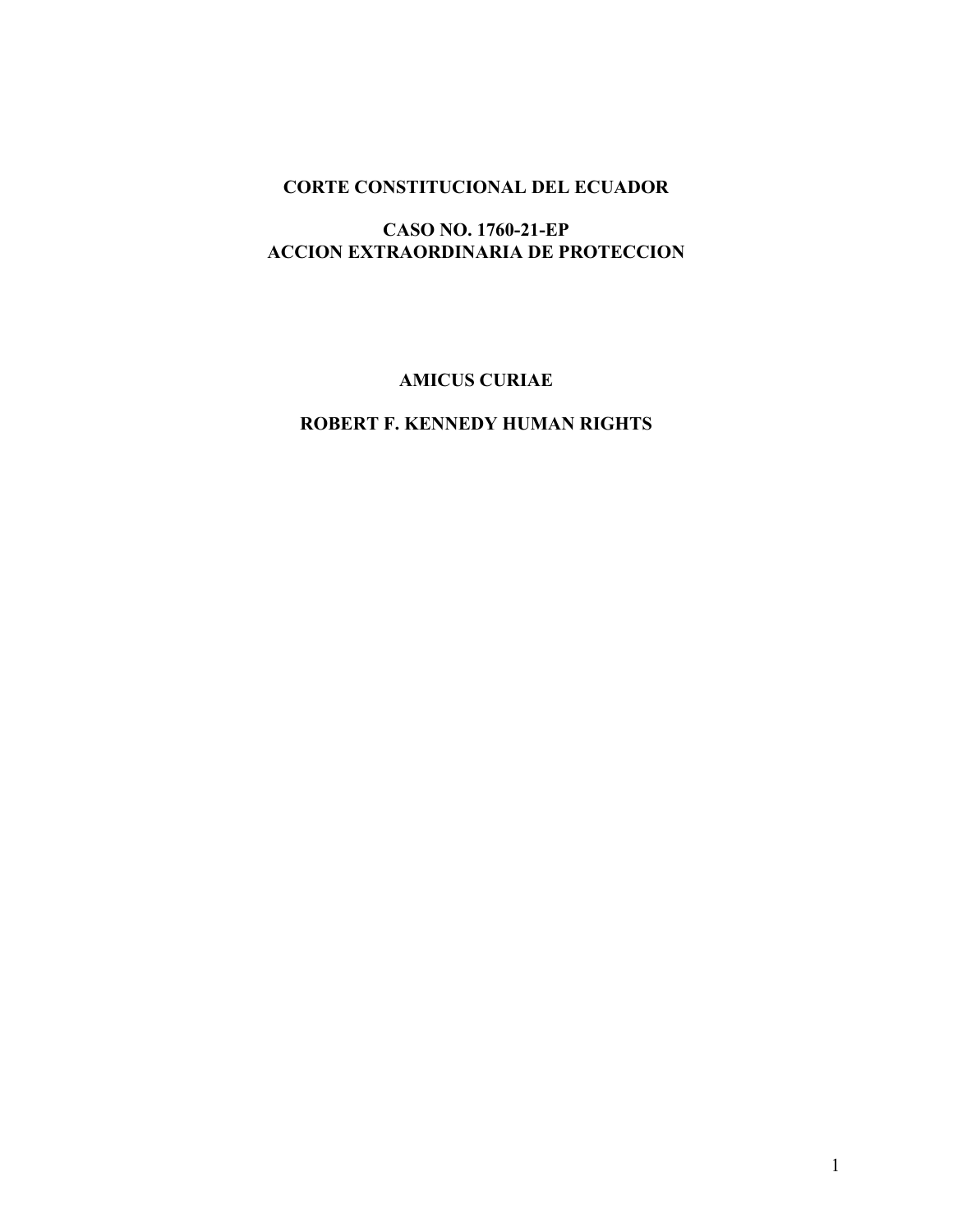# **CORTE CONSTITUCIONAL DEL ECUADOR**

# **CASO NO. 1760-21-EP ACCION EXTRAORDINARIA DE PROTECCION**

# **AMICUS CURIAE**

# **ROBERT F. KENNEDY HUMAN RIGHTS**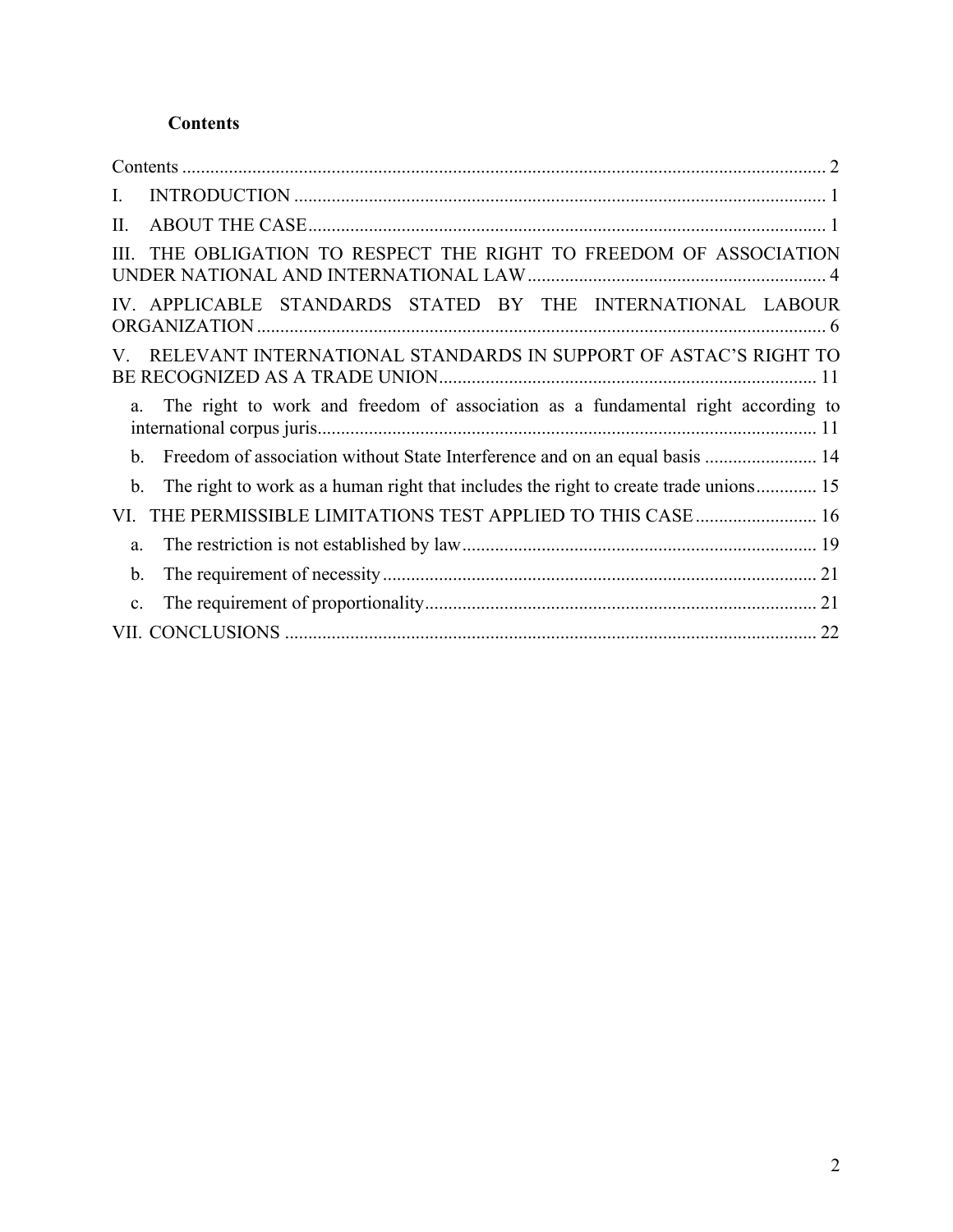# **Contents**

| Ι.                                                                                         |
|--------------------------------------------------------------------------------------------|
| Π.                                                                                         |
| THE OBLIGATION TO RESPECT THE RIGHT TO FREEDOM OF ASSOCIATION<br>III                       |
| IV. APPLICABLE STANDARDS STATED BY THE INTERNATIONAL LABOUR                                |
| RELEVANT INTERNATIONAL STANDARDS IN SUPPORT OF ASTAC'S RIGHT TO<br>V.                      |
| The right to work and freedom of association as a fundamental right according to<br>a.     |
| Freedom of association without State Interference and on an equal basis  14<br>b.          |
| The right to work as a human right that includes the right to create trade unions 15<br>b. |
| THE PERMISSIBLE LIMITATIONS TEST APPLIED TO THIS CASE  16<br>VL.                           |
| a.                                                                                         |
| b.                                                                                         |
| c.                                                                                         |
|                                                                                            |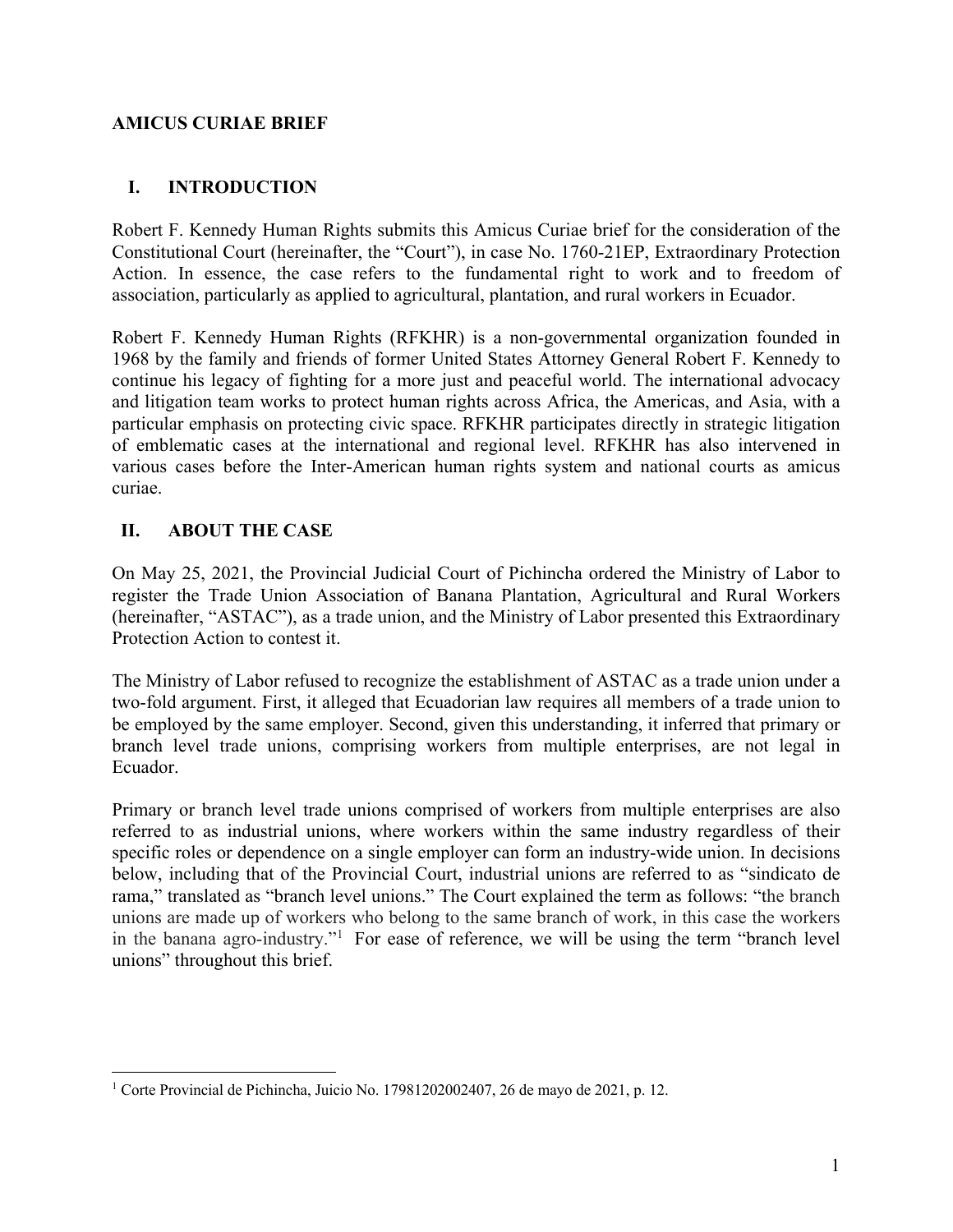#### **AMICUS CURIAE BRIEF**

#### **I. INTRODUCTION**

Robert F. Kennedy Human Rights submits this Amicus Curiae brief for the consideration of the Constitutional Court (hereinafter, the "Court"), in case No. 1760-21EP, Extraordinary Protection Action. In essence, the case refers to the fundamental right to work and to freedom of association, particularly as applied to agricultural, plantation, and rural workers in Ecuador.

Robert F. Kennedy Human Rights (RFKHR) is a non-governmental organization founded in 1968 by the family and friends of former United States Attorney General Robert F. Kennedy to continue his legacy of fighting for a more just and peaceful world. The international advocacy and litigation team works to protect human rights across Africa, the Americas, and Asia, with a particular emphasis on protecting civic space. RFKHR participates directly in strategic litigation of emblematic cases at the international and regional level. RFKHR has also intervened in various cases before the Inter-American human rights system and national courts as amicus curiae.

#### **II. ABOUT THE CASE**

On May 25, 2021, the Provincial Judicial Court of Pichincha ordered the Ministry of Labor to register the Trade Union Association of Banana Plantation, Agricultural and Rural Workers (hereinafter, "ASTAC"), as a trade union, and the Ministry of Labor presented this Extraordinary Protection Action to contest it.

The Ministry of Labor refused to recognize the establishment of ASTAC as a trade union under a two-fold argument. First, it alleged that Ecuadorian law requires all members of a trade union to be employed by the same employer. Second, given this understanding, it inferred that primary or branch level trade unions, comprising workers from multiple enterprises, are not legal in Ecuador.

Primary or branch level trade unions comprised of workers from multiple enterprises are also referred to as industrial unions, where workers within the same industry regardless of their specific roles or dependence on a single employer can form an industry-wide union. In decisions below, including that of the Provincial Court, industrial unions are referred to as "sindicato de rama," translated as "branch level unions." The Court explained the term as follows: "the branch unions are made up of workers who belong to the same branch of work, in this case the workers in the banana agro-industry."<sup>1</sup> For ease of reference, we will be using the term "branch level unions" throughout this brief.

<sup>&</sup>lt;sup>1</sup> Corte Provincial de Pichincha, Juicio No. 17981202002407, 26 de mayo de 2021, p. 12.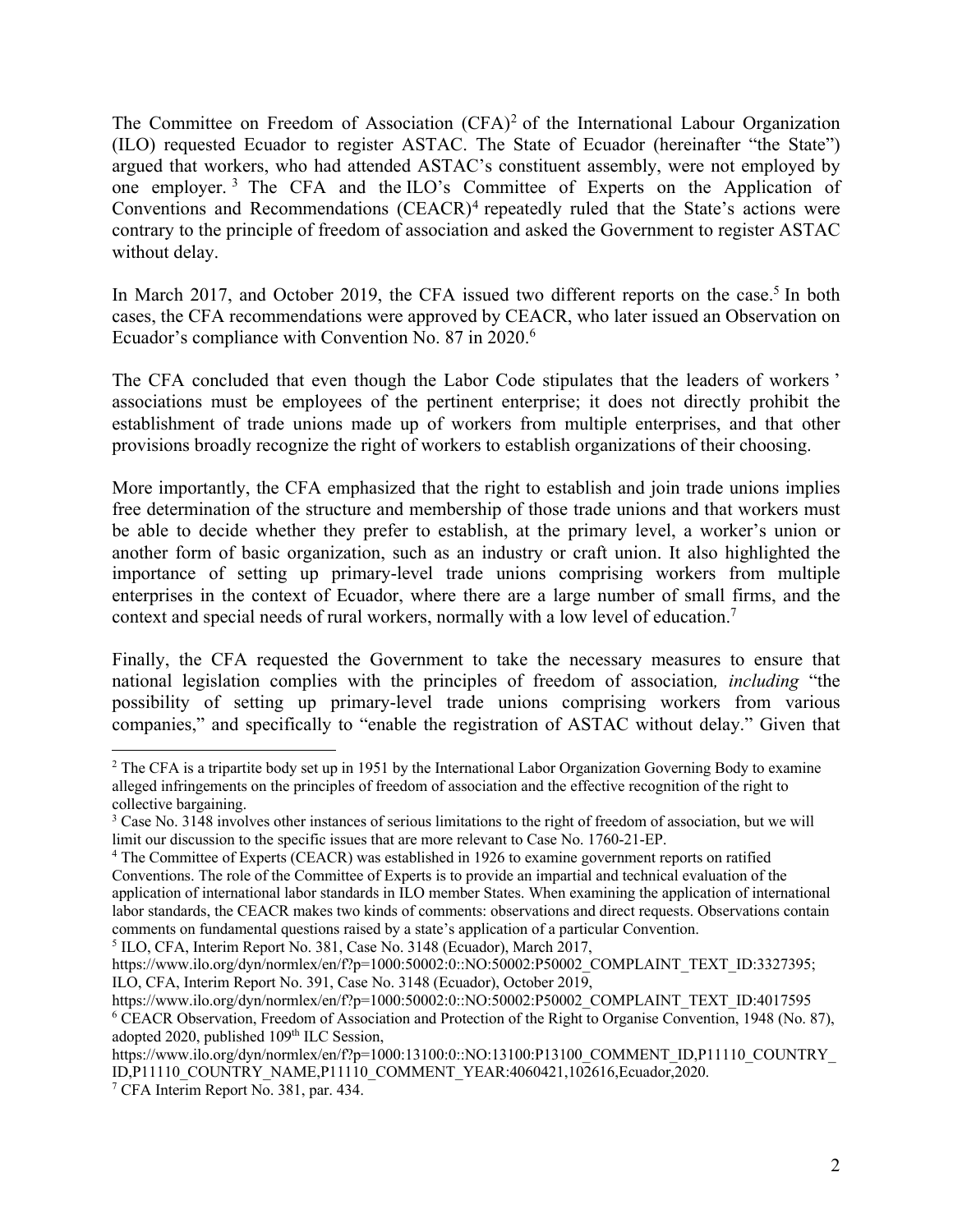The Committee on Freedom of Association  $(CFA)^2$  of the International Labour Organization (ILO) requested Ecuador to register ASTAC. The State of Ecuador (hereinafter "the State") argued that workers, who had attended ASTAC's constituent assembly, were not employed by one employer. <sup>3</sup> The CFA and the ILO's Committee of Experts on the Application of Conventions and Recommendations  $(CEACR)^4$  repeatedly ruled that the State's actions were contrary to the principle of freedom of association and asked the Government to register ASTAC without delay.

In March 2017, and October 2019, the CFA issued two different reports on the case.<sup>5</sup> In both cases, the CFA recommendations were approved by CEACR, who later issued an Observation on Ecuador's compliance with Convention No. 87 in 2020.6

The CFA concluded that even though the Labor Code stipulates that the leaders of workers ' associations must be employees of the pertinent enterprise; it does not directly prohibit the establishment of trade unions made up of workers from multiple enterprises, and that other provisions broadly recognize the right of workers to establish organizations of their choosing.

More importantly, the CFA emphasized that the right to establish and join trade unions implies free determination of the structure and membership of those trade unions and that workers must be able to decide whether they prefer to establish, at the primary level, a worker's union or another form of basic organization, such as an industry or craft union. It also highlighted the importance of setting up primary-level trade unions comprising workers from multiple enterprises in the context of Ecuador, where there are a large number of small firms, and the context and special needs of rural workers, normally with a low level of education.7

Finally, the CFA requested the Government to take the necessary measures to ensure that national legislation complies with the principles of freedom of association*, including* "the possibility of setting up primary-level trade unions comprising workers from various companies," and specifically to "enable the registration of ASTAC without delay." Given that

<sup>5</sup> ILO, CFA, Interim Report No. 381, Case No. 3148 (Ecuador), March 2017,

<sup>&</sup>lt;sup>2</sup> The CFA is a tripartite body set up in 1951 by the International Labor Organization Governing Body to examine alleged infringements on the principles of freedom of association and the effective recognition of the right to collective bargaining.

<sup>&</sup>lt;sup>3</sup> Case No. 3148 involves other instances of serious limitations to the right of freedom of association, but we will limit our discussion to the specific issues that are more relevant to Case No. 1760-21-EP.

<sup>4</sup> The Committee of Experts (CEACR) was established in 1926 to examine government reports on ratified Conventions. The role of the Committee of Experts is to provide an impartial and technical evaluation of the application of international labor standards in ILO member States. When examining the application of international labor standards, the CEACR makes two kinds of comments: observations and direct requests. Observations contain comments on fundamental questions raised by a state's application of a particular Convention.

https://www.ilo.org/dyn/normlex/en/f?p=1000:50002:0::NO:50002:P50002\_COMPLAINT\_TEXT\_ID:3327395; ILO, CFA, Interim Report No. 391, Case No. 3148 (Ecuador), October 2019,

https://www.ilo.org/dyn/normlex/en/f?p=1000:50002:0::NO:50002:P50002\_COMPLAINT\_TEXT\_ID:4017595 <sup>6</sup> CEACR Observation, Freedom of Association and Protection of the Right to Organise Convention, 1948 (No. 87), adopted 2020, published 109<sup>th</sup> ILC Session,

https://www.ilo.org/dyn/normlex/en/f?p=1000:13100:0::NO:13100:P13100\_COMMENT\_ID,P11110\_COUNTRY ID,P11110\_COUNTRY\_NAME,P11110\_COMMENT\_YEAR:4060421,102616,Ecuador,2020.

<sup>7</sup> CFA Interim Report No. 381, par. 434.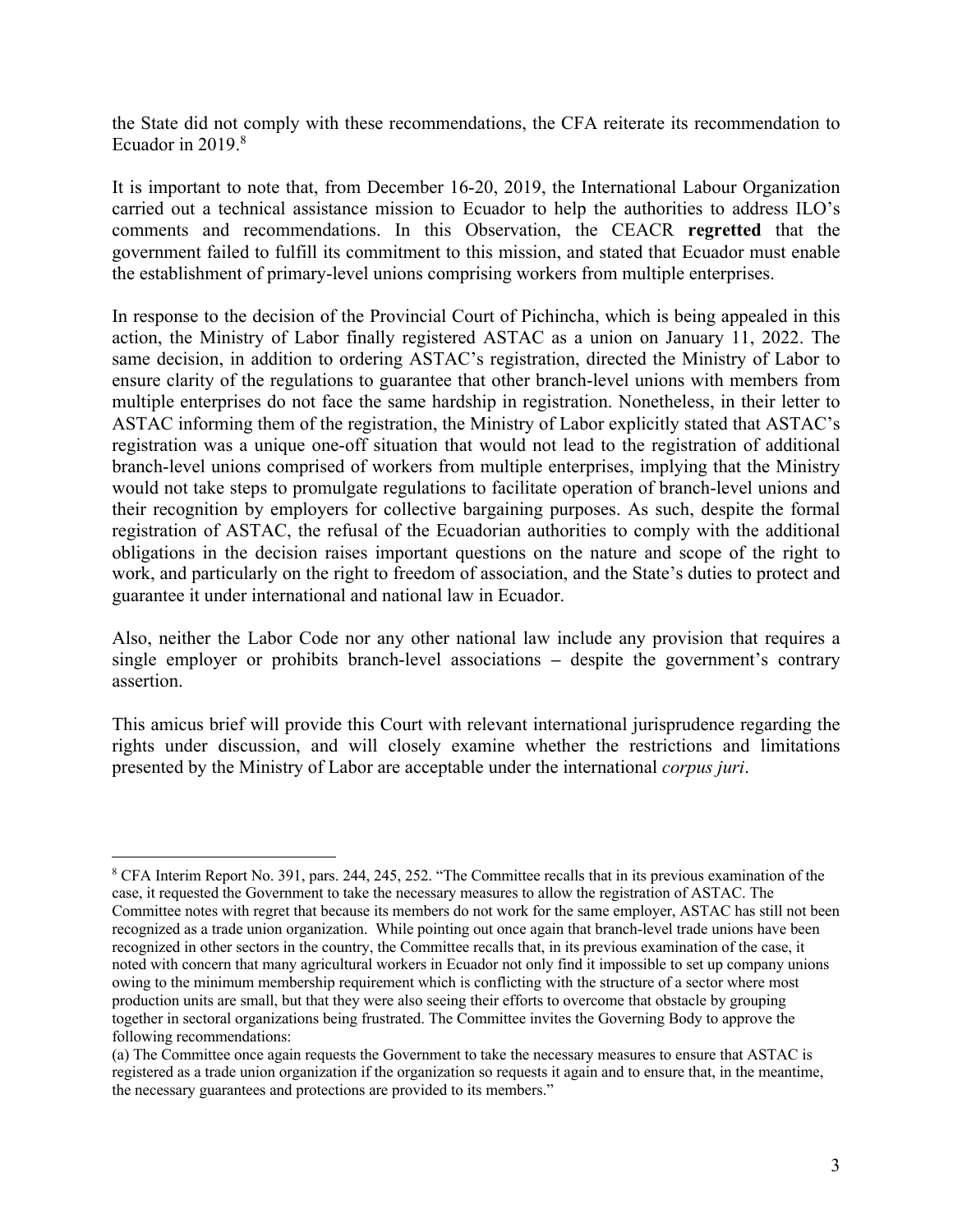the State did not comply with these recommendations, the CFA reiterate its recommendation to Ecuador in 2019. 8

It is important to note that, from December 16-20, 2019, the International Labour Organization carried out a technical assistance mission to Ecuador to help the authorities to address ILO's comments and recommendations. In this Observation, the CEACR **regretted** that the government failed to fulfill its commitment to this mission, and stated that Ecuador must enable the establishment of primary-level unions comprising workers from multiple enterprises.

In response to the decision of the Provincial Court of Pichincha, which is being appealed in this action, the Ministry of Labor finally registered ASTAC as a union on January 11, 2022. The same decision, in addition to ordering ASTAC's registration, directed the Ministry of Labor to ensure clarity of the regulations to guarantee that other branch-level unions with members from multiple enterprises do not face the same hardship in registration. Nonetheless, in their letter to ASTAC informing them of the registration, the Ministry of Labor explicitly stated that ASTAC's registration was a unique one-off situation that would not lead to the registration of additional branch-level unions comprised of workers from multiple enterprises, implying that the Ministry would not take steps to promulgate regulations to facilitate operation of branch-level unions and their recognition by employers for collective bargaining purposes. As such, despite the formal registration of ASTAC, the refusal of the Ecuadorian authorities to comply with the additional obligations in the decision raises important questions on the nature and scope of the right to work, and particularly on the right to freedom of association, and the State's duties to protect and guarantee it under international and national law in Ecuador.

Also, neither the Labor Code nor any other national law include any provision that requires a single employer or prohibits branch-level associations **–** despite the government's contrary assertion.

This amicus brief will provide this Court with relevant international jurisprudence regarding the rights under discussion, and will closely examine whether the restrictions and limitations presented by the Ministry of Labor are acceptable under the international *corpus juri*.

<sup>8</sup> CFA Interim Report No. 391, pars. 244, 245, 252. "The Committee recalls that in its previous examination of the case, it requested the Government to take the necessary measures to allow the registration of ASTAC. The Committee notes with regret that because its members do not work for the same employer, ASTAC has still not been recognized as a trade union organization. While pointing out once again that branch-level trade unions have been recognized in other sectors in the country, the Committee recalls that, in its previous examination of the case, it noted with concern that many agricultural workers in Ecuador not only find it impossible to set up company unions owing to the minimum membership requirement which is conflicting with the structure of a sector where most production units are small, but that they were also seeing their efforts to overcome that obstacle by grouping together in sectoral organizations being frustrated. The Committee invites the Governing Body to approve the following recommendations:

<sup>(</sup>a) The Committee once again requests the Government to take the necessary measures to ensure that ASTAC is registered as a trade union organization if the organization so requests it again and to ensure that, in the meantime, the necessary guarantees and protections are provided to its members."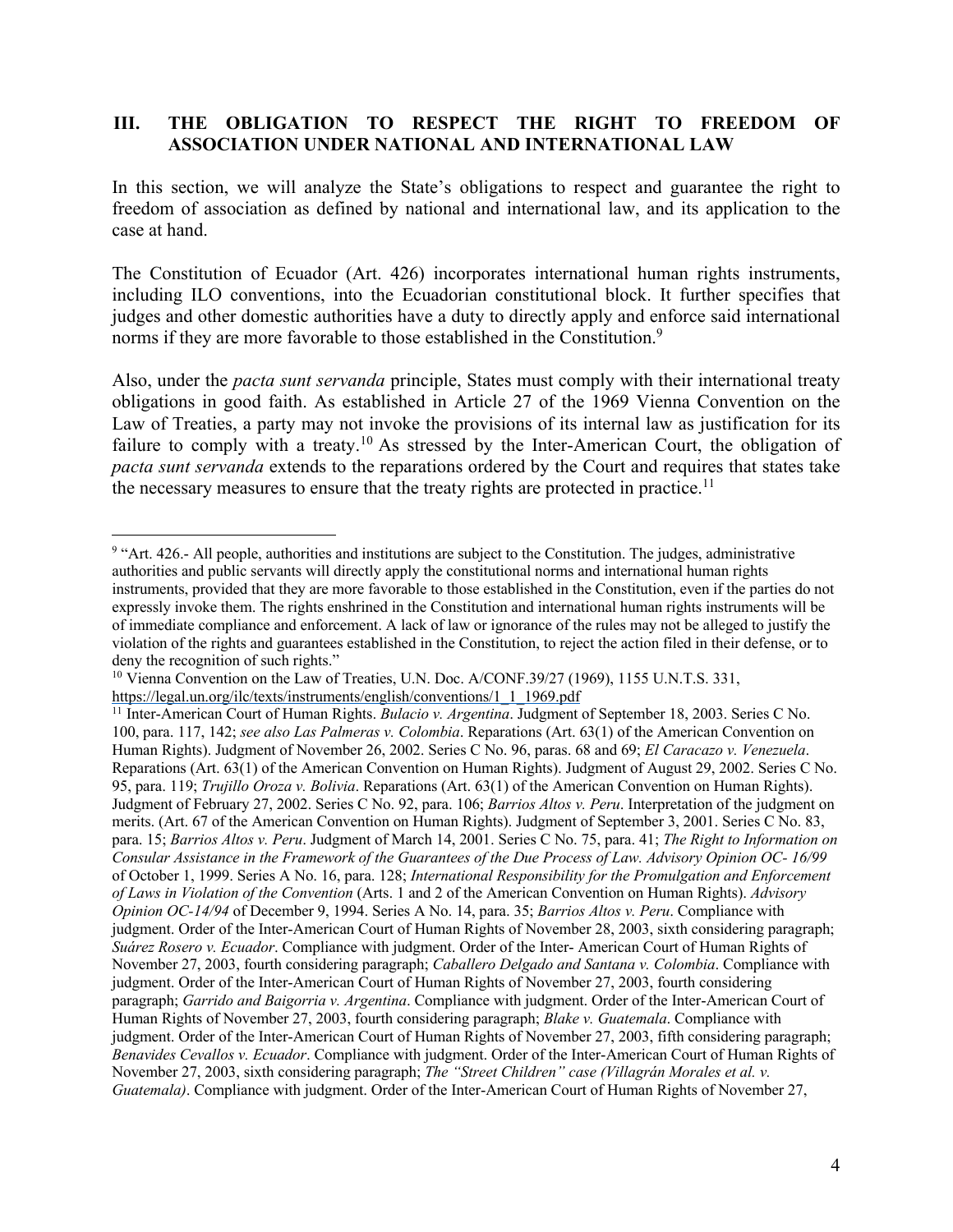#### **III. THE OBLIGATION TO RESPECT THE RIGHT TO FREEDOM OF ASSOCIATION UNDER NATIONAL AND INTERNATIONAL LAW**

In this section, we will analyze the State's obligations to respect and guarantee the right to freedom of association as defined by national and international law, and its application to the case at hand.

The Constitution of Ecuador (Art. 426) incorporates international human rights instruments, including ILO conventions, into the Ecuadorian constitutional block. It further specifies that judges and other domestic authorities have a duty to directly apply and enforce said international norms if they are more favorable to those established in the Constitution.<sup>9</sup>

Also, under the *pacta sunt servanda* principle, States must comply with their international treaty obligations in good faith. As established in Article 27 of the 1969 Vienna Convention on the Law of Treaties, a party may not invoke the provisions of its internal law as justification for its failure to comply with a treaty.<sup>10</sup> As stressed by the Inter-American Court, the obligation of *pacta sunt servanda* extends to the reparations ordered by the Court and requires that states take the necessary measures to ensure that the treaty rights are protected in practice.<sup>11</sup>

<sup>&</sup>lt;sup>9</sup> "Art. 426.- All people, authorities and institutions are subject to the Constitution. The judges, administrative authorities and public servants will directly apply the constitutional norms and international human rights instruments, provided that they are more favorable to those established in the Constitution, even if the parties do not expressly invoke them. The rights enshrined in the Constitution and international human rights instruments will be of immediate compliance and enforcement. A lack of law or ignorance of the rules may not be alleged to justify the violation of the rights and guarantees established in the Constitution, to reject the action filed in their defense, or to deny the recognition of such rights."

<sup>&</sup>lt;sup>10</sup> Vienna Convention on the Law of Treaties, U.N. Doc. A/CONF.39/27 (1969), 1155 U.N.T.S. 331, https://legal.un.org/ilc/texts/instruments/english/conventions/1\_1\_1969.pdf

<sup>11</sup> Inter-American Court of Human Rights. *Bulacio v. Argentina*. Judgment of September 18, 2003. Series C No. 100, para. 117, 142; *see also Las Palmeras v. Colombia*. Reparations (Art. 63(1) of the American Convention on Human Rights). Judgment of November 26, 2002. Series C No. 96, paras. 68 and 69; *El Caracazo v. Venezuela*. Reparations (Art. 63(1) of the American Convention on Human Rights). Judgment of August 29, 2002. Series C No. 95, para. 119; *Trujillo Oroza v. Bolivia*. Reparations (Art. 63(1) of the American Convention on Human Rights). Judgment of February 27, 2002. Series C No. 92, para. 106; *Barrios Altos v. Peru*. Interpretation of the judgment on merits. (Art. 67 of the American Convention on Human Rights). Judgment of September 3, 2001. Series C No. 83, para. 15; *Barrios Altos v. Peru*. Judgment of March 14, 2001. Series C No. 75, para. 41; *The Right to Information on* Consular Assistance in the Framework of the Guarantees of the Due Process of Law. Advisory Opinion OC-16/99 of October 1, 1999. Series A No. 16, para. 128; *International Responsibility for the Promulgation and Enforcement of Laws in Violation of the Convention* (Arts. 1 and 2 of the American Convention on Human Rights). *Advisory Opinion OC-14/94* of December 9, 1994. Series A No. 14, para. 35; *Barrios Altos v. Peru*. Compliance with judgment. Order of the Inter-American Court of Human Rights of November 28, 2003, sixth considering paragraph; *Suárez Rosero v. Ecuador*. Compliance with judgment. Order of the Inter- American Court of Human Rights of November 27, 2003, fourth considering paragraph; *Caballero Delgado and Santana v. Colombia*. Compliance with judgment. Order of the Inter-American Court of Human Rights of November 27, 2003, fourth considering paragraph; *Garrido and Baigorria v. Argentina*. Compliance with judgment. Order of the Inter-American Court of Human Rights of November 27, 2003, fourth considering paragraph; *Blake v. Guatemala*. Compliance with judgment. Order of the Inter-American Court of Human Rights of November 27, 2003, fifth considering paragraph; *Benavides Cevallos v. Ecuador*. Compliance with judgment. Order of the Inter-American Court of Human Rights of November 27, 2003, sixth considering paragraph; *The "Street Children" case (Villagrán Morales et al. v. Guatemala)*. Compliance with judgment. Order of the Inter-American Court of Human Rights of November 27,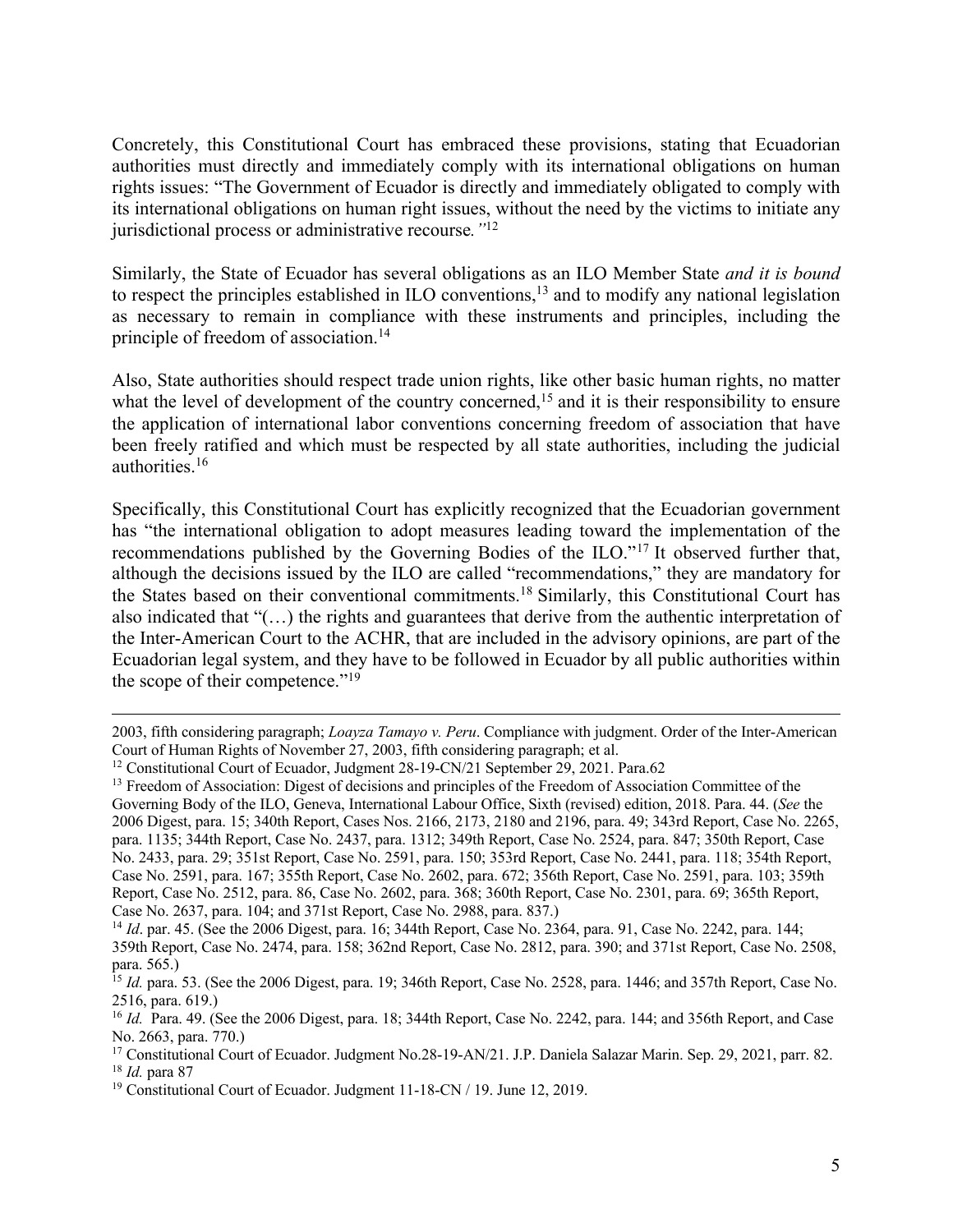Concretely, this Constitutional Court has embraced these provisions, stating that Ecuadorian authorities must directly and immediately comply with its international obligations on human rights issues: "The Government of Ecuador is directly and immediately obligated to comply with its international obligations on human right issues, without the need by the victims to initiate any jurisdictional process or administrative recourse*."*<sup>12</sup>

Similarly, the State of Ecuador has several obligations as an ILO Member State *and it is bound* to respect the principles established in ILO conventions,<sup>13</sup> and to modify any national legislation as necessary to remain in compliance with these instruments and principles, including the principle of freedom of association. 14

Also, State authorities should respect trade union rights, like other basic human rights, no matter what the level of development of the country concerned,<sup>15</sup> and it is their responsibility to ensure the application of international labor conventions concerning freedom of association that have been freely ratified and which must be respected by all state authorities, including the judicial authorities. 16

Specifically, this Constitutional Court has explicitly recognized that the Ecuadorian government has "the international obligation to adopt measures leading toward the implementation of the recommendations published by the Governing Bodies of the ILO."17 It observed further that, although the decisions issued by the ILO are called "recommendations," they are mandatory for the States based on their conventional commitments.18 Similarly, this Constitutional Court has also indicated that "(…) the rights and guarantees that derive from the authentic interpretation of the Inter-American Court to the ACHR, that are included in the advisory opinions, are part of the Ecuadorian legal system, and they have to be followed in Ecuador by all public authorities within the scope of their competence."19

<sup>2003,</sup> fifth considering paragraph; *Loayza Tamayo v. Peru*. Compliance with judgment. Order of the Inter-American Court of Human Rights of November 27, 2003, fifth considering paragraph; et al.

<sup>12</sup> Constitutional Court of Ecuador, Judgment 28-19-CN/21 September 29, 2021. Para.62

<sup>&</sup>lt;sup>13</sup> Freedom of Association: Digest of decisions and principles of the Freedom of Association Committee of the Governing Body of the ILO, Geneva, International Labour Office, Sixth (revised) edition, 2018. Para. 44. (*See* the 2006 Digest, para. 15; 340th Report, Cases Nos. 2166, 2173, 2180 and 2196, para. 49; 343rd Report, Case No. 2265, para. 1135; 344th Report, Case No. 2437, para. 1312; 349th Report, Case No. 2524, para. 847; 350th Report, Case No. 2433, para. 29; 351st Report, Case No. 2591, para. 150; 353rd Report, Case No. 2441, para. 118; 354th Report, Case No. 2591, para. 167; 355th Report, Case No. 2602, para. 672; 356th Report, Case No. 2591, para. 103; 359th Report, Case No. 2512, para. 86, Case No. 2602, para. 368; 360th Report, Case No. 2301, para. 69; 365th Report, Case No. 2637, para. 104; and 371st Report, Case No. 2988, para. 837.)

<sup>14</sup> *Id*. par. 45. (See the 2006 Digest, para. 16; 344th Report, Case No. 2364, para. 91, Case No. 2242, para. 144; 359th Report, Case No. 2474, para. 158; 362nd Report, Case No. 2812, para. 390; and 371st Report, Case No. 2508, para. 565.)

<sup>15</sup> *Id.* para. 53. (See the 2006 Digest, para. 19; 346th Report, Case No. 2528, para. 1446; and 357th Report, Case No. 2516, para. 619.)

<sup>&</sup>lt;sup>16</sup> *Id.* Para. 49. (See the 2006 Digest, para. 18; 344th Report, Case No. 2242, para. 144; and 356th Report, and Case No. 2663, para. 770.)

<sup>17</sup> Constitutional Court of Ecuador. Judgment No.28-19-AN/21. J.P. Daniela Salazar Marin. Sep. 29, 2021, parr. 82. <sup>18</sup> *Id.* para 87

<sup>&</sup>lt;sup>19</sup> Constitutional Court of Ecuador. Judgment 11-18-CN / 19. June 12, 2019.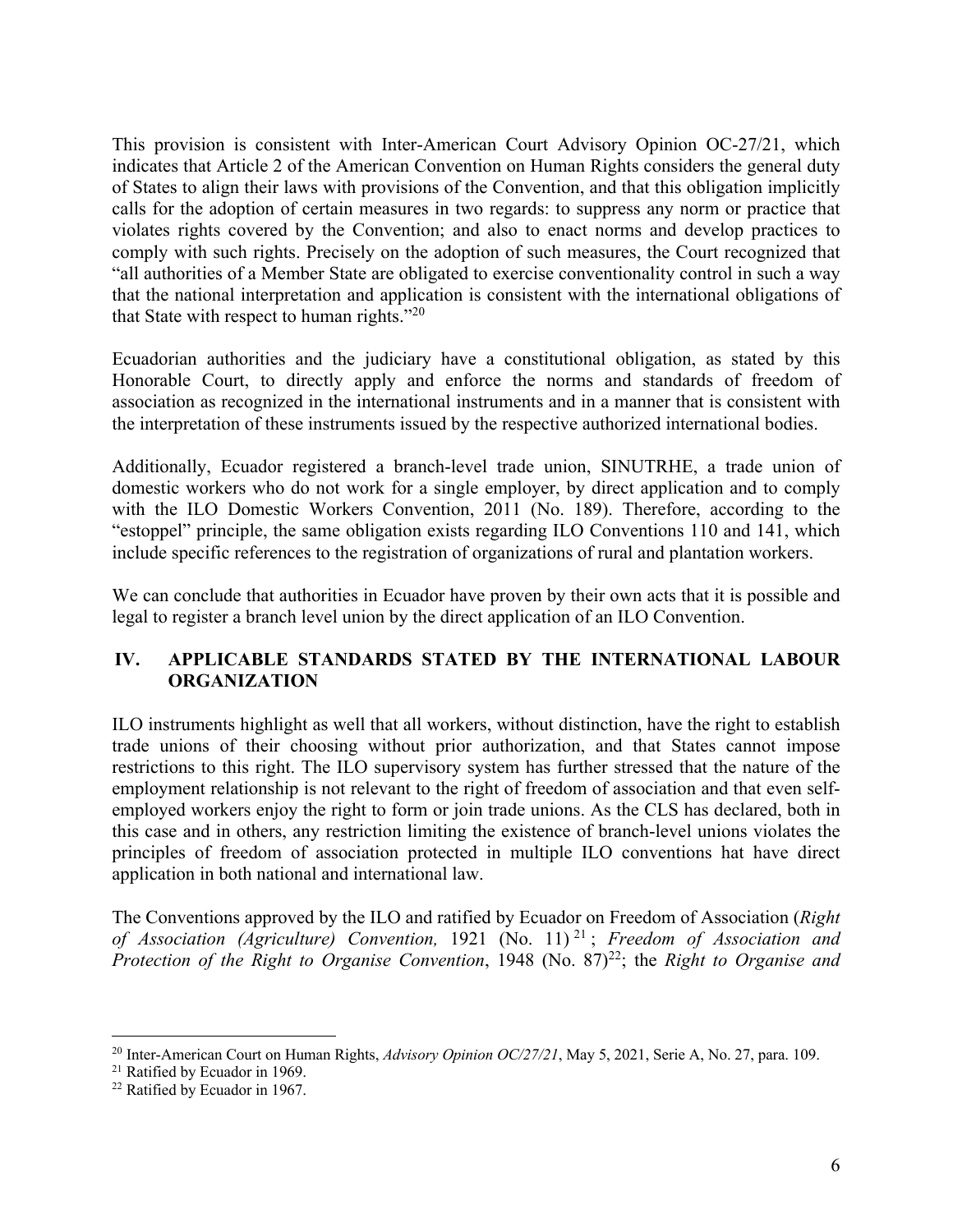This provision is consistent with Inter-American Court Advisory Opinion OC-27/21, which indicates that Article 2 of the American Convention on Human Rights considers the general duty of States to align their laws with provisions of the Convention, and that this obligation implicitly calls for the adoption of certain measures in two regards: to suppress any norm or practice that violates rights covered by the Convention; and also to enact norms and develop practices to comply with such rights. Precisely on the adoption of such measures, the Court recognized that "all authorities of a Member State are obligated to exercise conventionality control in such a way that the national interpretation and application is consistent with the international obligations of that State with respect to human rights."20

Ecuadorian authorities and the judiciary have a constitutional obligation, as stated by this Honorable Court, to directly apply and enforce the norms and standards of freedom of association as recognized in the international instruments and in a manner that is consistent with the interpretation of these instruments issued by the respective authorized international bodies.

Additionally, Ecuador registered a branch-level trade union, SINUTRHE, a trade union of domestic workers who do not work for a single employer, by direct application and to comply with the ILO Domestic Workers Convention, 2011 (No. 189). Therefore, according to the "estoppel" principle, the same obligation exists regarding ILO Conventions 110 and 141, which include specific references to the registration of organizations of rural and plantation workers.

We can conclude that authorities in Ecuador have proven by their own acts that it is possible and legal to register a branch level union by the direct application of an ILO Convention.

## **IV. APPLICABLE STANDARDS STATED BY THE INTERNATIONAL LABOUR ORGANIZATION**

ILO instruments highlight as well that all workers, without distinction, have the right to establish trade unions of their choosing without prior authorization, and that States cannot impose restrictions to this right. The ILO supervisory system has further stressed that the nature of the employment relationship is not relevant to the right of freedom of association and that even selfemployed workers enjoy the right to form or join trade unions. As the CLS has declared, both in this case and in others, any restriction limiting the existence of branch-level unions violates the principles of freedom of association protected in multiple ILO conventions hat have direct application in both national and international law.

The Conventions approved by the ILO and ratified by Ecuador on Freedom of Association (*Right of Association (Agriculture) Convention,* 1921 (No. 11) <sup>21</sup> ; *Freedom of Association and Protection of the Right to Organise Convention*, 1948 (No. 87)<sup>22</sup>; the *Right to Organise and* 

<sup>20</sup> Inter-American Court on Human Rights, *Advisory Opinion OC/27/21*, May 5, 2021, Serie A, No. 27, para. 109.

<sup>21</sup> Ratified by Ecuador in 1969.

<sup>22</sup> Ratified by Ecuador in 1967.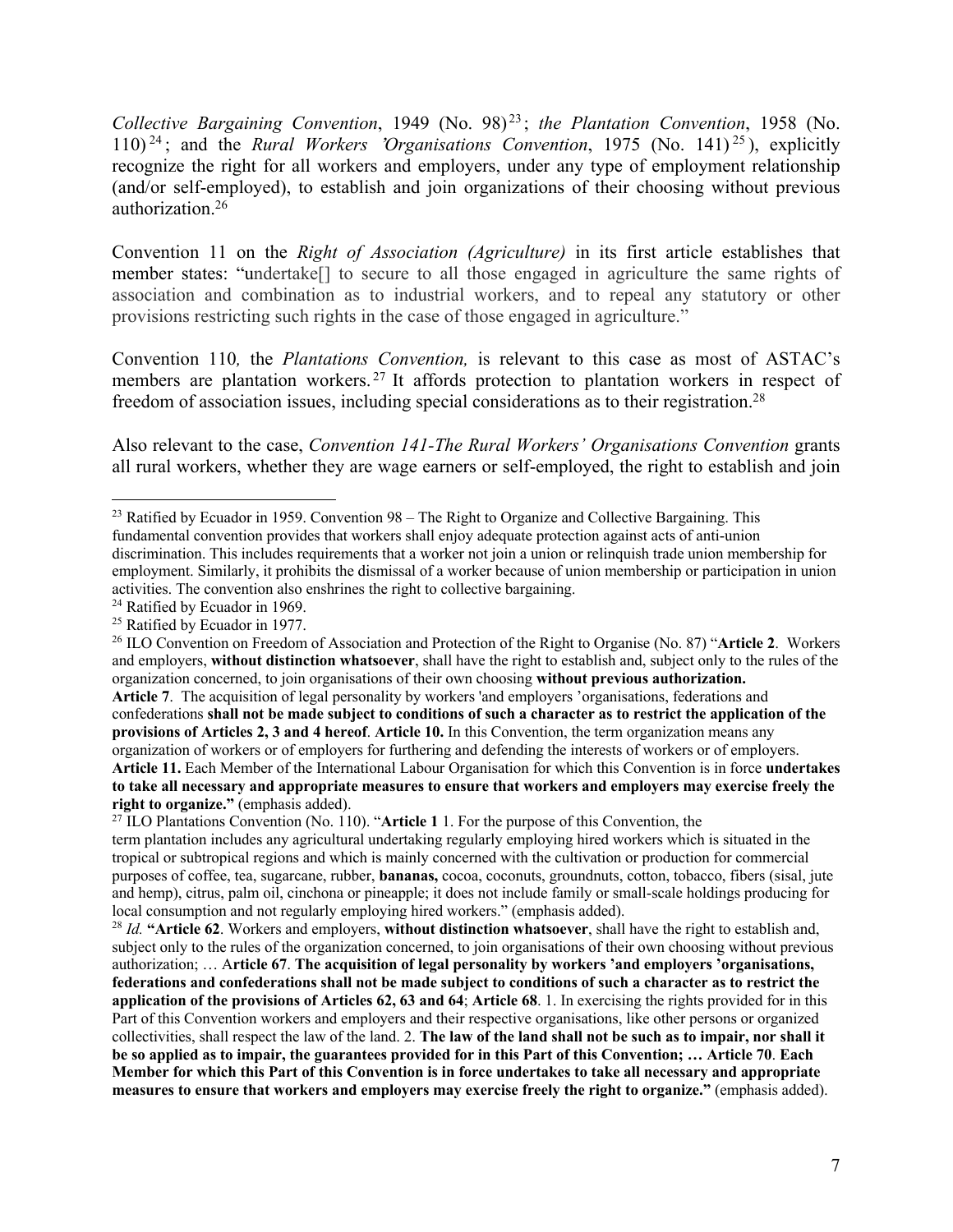*Collective Bargaining Convention*, 1949 (No. 98) <sup>23</sup> ; *the Plantation Convention*, 1958 (No. 110) <sup>24</sup> ; and the *Rural Workers* '*Organisations Convention*, 1975 (No. 141) <sup>25</sup> ), explicitly recognize the right for all workers and employers, under any type of employment relationship (and/or self-employed), to establish and join organizations of their choosing without previous authorization. 26

Convention 11 on the *Right of Association (Agriculture)* in its first article establishes that member states: "undertake[] to secure to all those engaged in agriculture the same rights of association and combination as to industrial workers, and to repeal any statutory or other provisions restricting such rights in the case of those engaged in agriculture."

Convention 110*,* the *Plantations Convention,* is relevant to this case as most of ASTAC's members are plantation workers.<sup>27</sup> It affords protection to plantation workers in respect of freedom of association issues, including special considerations as to their registration.<sup>28</sup>

Also relevant to the case, *Convention 141-The Rural Workers' Organisations Convention* grants all rural workers, whether they are wage earners or self-employed, the right to establish and join

<sup>27</sup> ILO Plantations Convention (No. 110). "**Article 1** 1. For the purpose of this Convention, the term plantation includes any agricultural undertaking regularly employing hired workers which is situated in the tropical or subtropical regions and which is mainly concerned with the cultivation or production for commercial purposes of coffee, tea, sugarcane, rubber, **bananas,** cocoa, coconuts, groundnuts, cotton, tobacco, fibers (sisal, jute and hemp), citrus, palm oil, cinchona or pineapple; it does not include family or small-scale holdings producing for local consumption and not regularly employing hired workers." (emphasis added).

<sup>28</sup> *Id.* **"Article 62**. Workers and employers, **without distinction whatsoever**, shall have the right to establish and, subject only to the rules of the organization concerned, to join organisations of their own choosing without previous authorization; … A**rticle 67**. **The acquisition of legal personality by workers 'and employers 'organisations,** federations and confederations shall not be made subject to conditions of such a character as to restrict the **application of the provisions of Articles 62, 63 and 64**; **Article 68**. 1. In exercising the rights provided for in this Part of this Convention workers and employers and their respective organisations, like other persons or organized collectivities, shall respect the law of the land. 2. **The law of the land shall not be such as to impair, nor shall it** be so applied as to impair, the guarantees provided for in this Part of this Convention; ... Article 70. Each Member for which this Part of this Convention is in force undertakes to take all necessary and appropriate **measures to ensure that workers and employers may exercise freely the right to organize."** (emphasis added).

 $^{23}$  Ratified by Ecuador in 1959. Convention 98 – The Right to Organize and Collective Bargaining. This fundamental convention provides that workers shall enjoy adequate protection against acts of anti-union discrimination. This includes requirements that a worker not join a union or relinquish trade union membership for employment. Similarly, it prohibits the dismissal of a worker because of union membership or participation in union activities. The convention also enshrines the right to collective bargaining.

<sup>&</sup>lt;sup>24</sup> Ratified by Ecuador in 1969.

<sup>&</sup>lt;sup>25</sup> Ratified by Ecuador in 1977.

<sup>26</sup> ILO Convention on Freedom of Association and Protection of the Right to Organise (No. 87) "**Article 2**.Workers and employers, **without distinction whatsoever**, shall have the right to establish and, subject only to the rules of the organization concerned, to join organisations of their own choosing **without previous authorization. Article 7**. The acquisition of legal personality by workers 'and employers 'organisations, federations and confederations shall not be made subject to conditions of such a character as to restrict the application of the **provisions of Articles 2, 3 and 4 hereof**. **Article 10.** In this Convention, the term organization means any organization of workers or of employers for furthering and defending the interests of workers or of employers. **Article 11.** Each Member of the International Labour Organisation for which this Convention is in force **undertakes** to take all necessary and appropriate measures to ensure that workers and employers may exercise freely the **right to organize."** (emphasis added).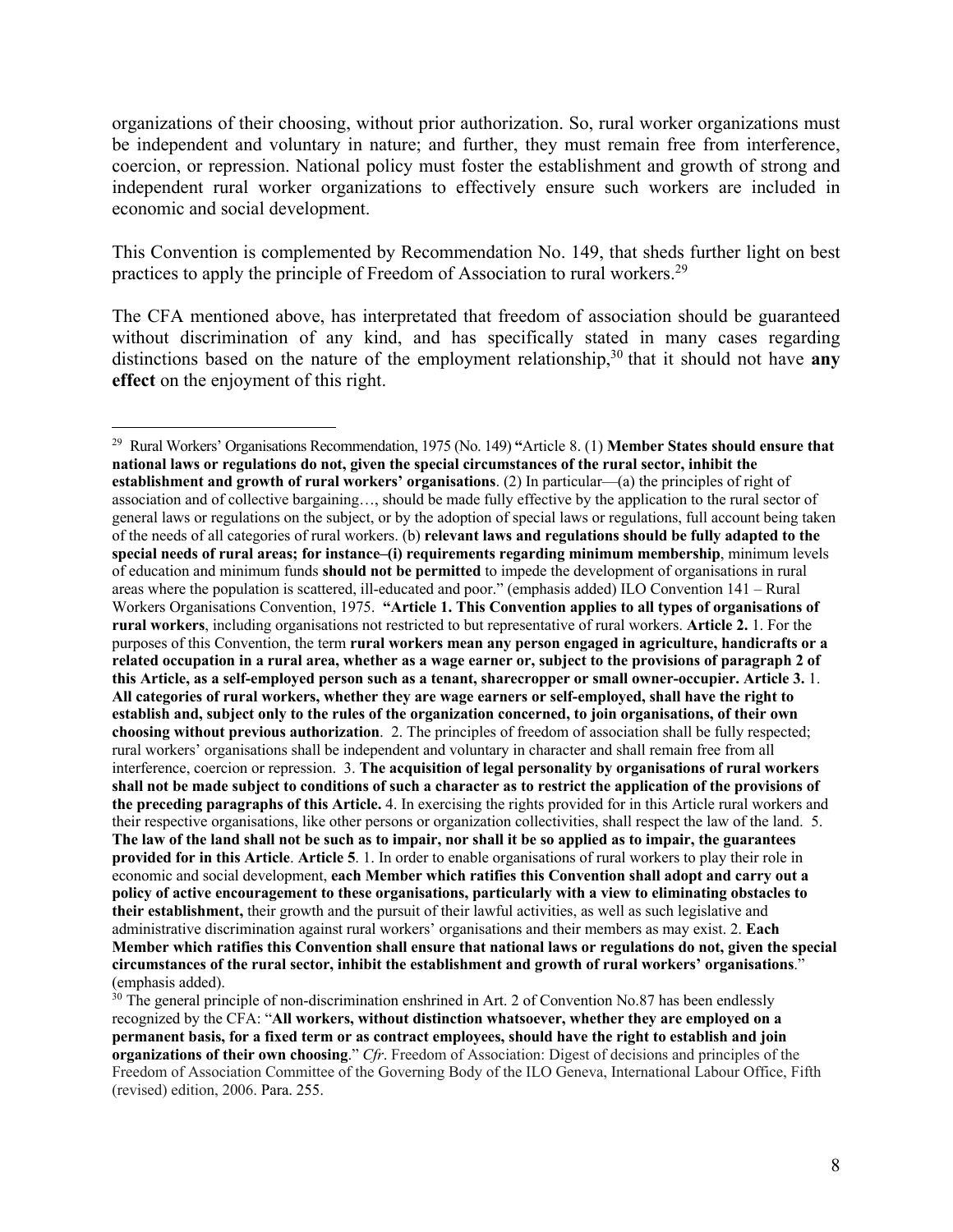organizations of their choosing, without prior authorization. So, rural worker organizations must be independent and voluntary in nature; and further, they must remain free from interference, coercion, or repression. National policy must foster the establishment and growth of strong and independent rural worker organizations to effectively ensure such workers are included in economic and social development.

This Convention is complemented by Recommendation No. 149, that sheds further light on best practices to apply the principle of Freedom of Association to rural workers.29

The CFA mentioned above, has interpretated that freedom of association should be guaranteed without discrimination of any kind, and has specifically stated in many cases regarding distinctions based on the nature of the employment relationship, <sup>30</sup> that it should not have **any effect** on the enjoyment of this right.

<sup>29</sup> Rural Workers' Organisations Recommendation, 1975 (No. 149) **"**Article 8. (1) **Member States should ensure that national laws or regulations do not, given the special circumstances of the rural sector, inhibit the establishment and growth of rural workers' organisations**. (2) In particular—(a) the principles of right of association and of collective bargaining…, should be made fully effective by the application to the rural sector of general laws or regulations on the subject, or by the adoption of special laws or regulations, full account being taken of the needs of all categories of rural workers. (b) **relevant laws and regulations should be fully adapted to the special needs of rural areas; for instance–(i) requirements regarding minimum membership**, minimum levels of education and minimum funds **should not be permitted** to impede the development of organisations in rural areas where the population is scattered, ill-educated and poor." (emphasis added) ILO Convention 141 – Rural Workers Organisations Convention, 1975. **"Article 1. This Convention applies to all types of organisations of rural workers**, including organisations not restricted to but representative of rural workers. **Article 2.** 1. For the purposes of this Convention, the term **rural workers mean any person engaged in agriculture, handicrafts or a** related occupation in a rural area, whether as a wage earner or, subject to the provisions of paragraph 2 of **this Article, as a self-employed person such as a tenant, sharecropper or small owner-occupier. Article 3.** 1. **All categories of rural workers, whether they are wage earners or self-employed, shall have the right to** establish and, subject only to the rules of the organization concerned, to join organisations, of their own **choosing without previous authorization**. 2. The principles of freedom of association shall be fully respected; rural workers' organisations shall be independent and voluntary in character and shall remain free from all interference, coercion or repression. 3. **The acquisition of legal personality by organisations of rural workers** shall not be made subject to conditions of such a character as to restrict the application of the provisions of **the preceding paragraphs of this Article.** 4. In exercising the rights provided for in this Article rural workers and their respective organisations, like other persons or organization collectivities, shall respect the law of the land. 5. The law of the land shall not be such as to impair, nor shall it be so applied as to impair, the guarantees **provided for in this Article**. **Article 5**. 1. In order to enable organisations of rural workers to play their role in economic and social development, **each Member which ratifies this Convention shall adopt and carry out a policy of active encouragement to these organisations, particularly with a view to eliminating obstacles to their establishment,** their growth and the pursuit of their lawful activities, as well as such legislative and administrative discrimination against rural workers' organisations and their members as may exist. 2. **Each** Member which ratifies this Convention shall ensure that national laws or regulations do not, given the special **circumstances of the rural sector, inhibit the establishment and growth of rural workers' organisations**." (emphasis added).

 $30$  The general principle of non-discrimination enshrined in Art. 2 of Convention No.87 has been endlessly recognized by the CFA: "**All workers, without distinction whatsoever, whether they are employed on a** permanent basis, for a fixed term or as contract employees, should have the right to establish and join **organizations of their own choosing**." *Cfr*. Freedom of Association: Digest of decisions and principles of the Freedom of Association Committee of the Governing Body of the ILO Geneva, International Labour Office, Fifth (revised) edition, 2006. Para. 255.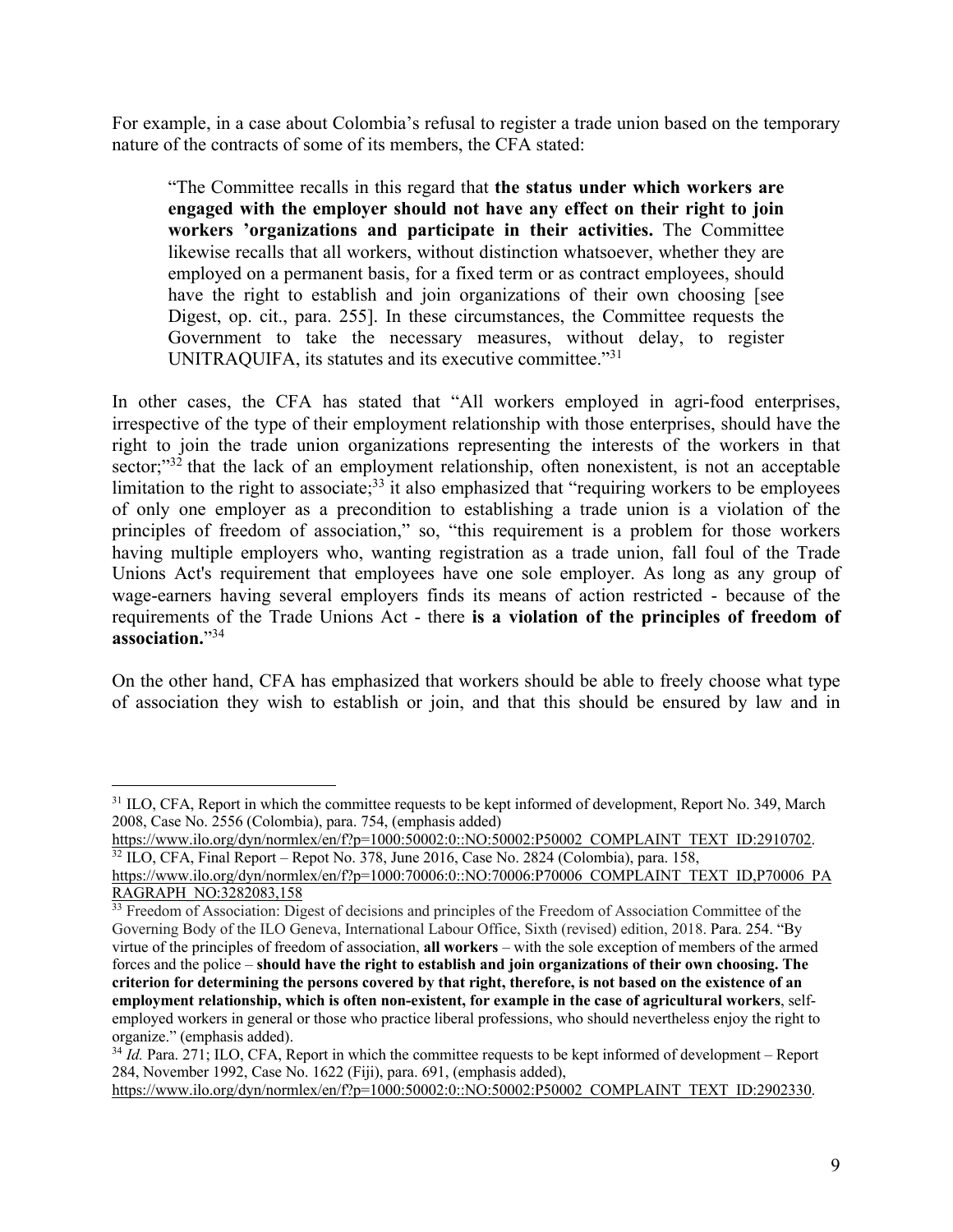For example, in a case about Colombia's refusal to register a trade union based on the temporary nature of the contracts of some of its members, the CFA stated:

"The Committee recalls in this regard that **the status under which workers are engaged with the employer should not have any effect on their right to join workers 'organizations and participate in their activities.** The Committee likewise recalls that all workers, without distinction whatsoever, whether they are employed on a permanent basis, for a fixed term or as contract employees, should have the right to establish and join organizations of their own choosing [see Digest, op. cit., para. 255]. In these circumstances, the Committee requests the Government to take the necessary measures, without delay, to register UNITRAQUIFA, its statutes and its executive committee."31

In other cases, the CFA has stated that "All workers employed in agri-food enterprises, irrespective of the type of their employment relationship with those enterprises, should have the right to join the trade union organizations representing the interests of the workers in that sector;<sup>33</sup> that the lack of an employment relationship, often nonexistent, is not an acceptable limitation to the right to associate; $33$  it also emphasized that "requiring workers to be employees of only one employer as a precondition to establishing a trade union is a violation of the principles of freedom of association," so, "this requirement is a problem for those workers having multiple employers who, wanting registration as a trade union, fall foul of the Trade Unions Act's requirement that employees have one sole employer. As long as any group of wage-earners having several employers finds its means of action restricted - because of the requirements of the Trade Unions Act - there **is a violation of the principles of freedom of association.**"34

On the other hand, CFA has emphasized that workers should be able to freely choose what type of association they wish to establish or join, and that this should be ensured by law and in

https://www.ilo.org/dyn/normlex/en/f?p=1000:50002:0::NO:50002:P50002\_COMPLAINT\_TEXT\_ID:2910702.  $32$  ILO, CFA, Final Report – Repot No. 378, June 2016, Case No. 2824 (Colombia), para. 158,

https://www.ilo.org/dyn/normlex/en/f?p=1000:50002:0::NO:50002:P50002\_COMPLAINT\_TEXT\_ID:2902330.

<sup>&</sup>lt;sup>31</sup> ILO, CFA, Report in which the committee requests to be kept informed of development, Report No. 349, March 2008, Case No. 2556 (Colombia), para. 754, (emphasis added)

https://www.ilo.org/dyn/normlex/en/f?p=1000:70006:0::NO:70006:P70006\_COMPLAINT\_TEXT\_ID,P70006\_PA RAGRAPH\_NO:3282083,158

<sup>&</sup>lt;sup>33</sup> Freedom of Association: Digest of decisions and principles of the Freedom of Association Committee of the Governing Body of the ILO Geneva, International Labour Office, Sixth (revised) edition, 2018. Para. 254. "By virtue of the principles of freedom of association, **all workers** – with the sole exception of members of the armed forces and the police – **should have the right to establish and join organizations of their own choosing. The** criterion for determining the persons covered by that right, therefore, is not based on the existence of an **employment relationship, which is often non-existent, for example in the case of agricultural workers**, selfemployed workers in general or those who practice liberal professions, who should nevertheless enjoy the right to organize." (emphasis added).

<sup>&</sup>lt;sup>34</sup> *Id.* Para. 271; ILO, CFA, Report in which the committee requests to be kept informed of development – Report 284, November 1992, Case No. 1622 (Fiji), para. 691, (emphasis added),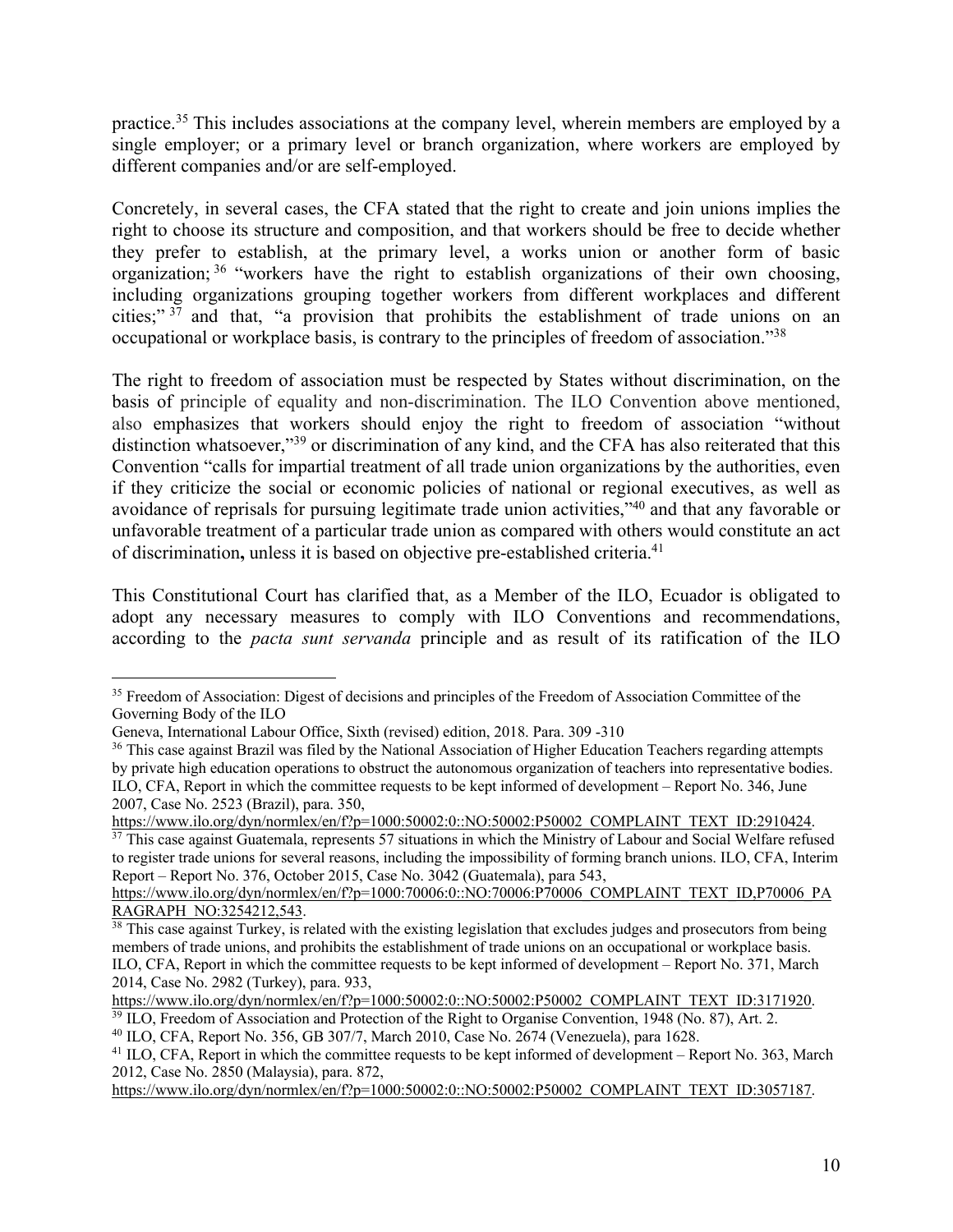practice.<sup>35</sup> This includes associations at the company level, wherein members are employed by a single employer; or a primary level or branch organization, where workers are employed by different companies and/or are self-employed.

Concretely, in several cases, the CFA stated that the right to create and join unions implies the right to choose its structure and composition, and that workers should be free to decide whether they prefer to establish, at the primary level, a works union or another form of basic organization;  $36$  "workers have the right to establish organizations of their own choosing, including organizations grouping together workers from different workplaces and different cities;" <sup>37</sup> and that, "a provision that prohibits the establishment of trade unions on an occupational or workplace basis, is contrary to the principles of freedom of association."38

The right to freedom of association must be respected by States without discrimination, on the basis of principle of equality and non-discrimination. The ILO Convention above mentioned, also emphasizes that workers should enjoy the right to freedom of association "without distinction whatsoever,"39 or discrimination of any kind, and the CFA has also reiterated that this Convention "calls for impartial treatment of all trade union organizations by the authorities, even if they criticize the social or economic policies of national or regional executives, as well as avoidance of reprisals for pursuing legitimate trade union activities,"40 and that any favorable or unfavorable treatment of a particular trade union as compared with others would constitute an act of discrimination**,** unless it is based on objective pre-established criteria. 41

This Constitutional Court has clarified that, as a Member of the ILO, Ecuador is obligated to adopt any necessary measures to comply with ILO Conventions and recommendations, according to the *pacta sunt servanda* principle and as result of its ratification of the ILO

<sup>&</sup>lt;sup>35</sup> Freedom of Association: Digest of decisions and principles of the Freedom of Association Committee of the Governing Body of the ILO

Geneva, International Labour Office, Sixth (revised) edition, 2018. Para. 309 -310

<sup>&</sup>lt;sup>36</sup> This case against Brazil was filed by the National Association of Higher Education Teachers regarding attempts by private high education operations to obstruct the autonomous organization of teachers into representative bodies. ILO, CFA, Report in which the committee requests to be kept informed of development – Report No. 346, June 2007, Case No. 2523 (Brazil), para. 350,

https://www.ilo.org/dyn/normlex/en/f?p=1000:50002:0::NO:50002:P50002\_COMPLAINT\_TEXT\_ID:2910424.

<sup>&</sup>lt;sup>37</sup> This case against Guatemala, represents 57 situations in which the Ministry of Labour and Social Welfare refused to register trade unions for several reasons, including the impossibility of forming branch unions. ILO, CFA, Interim Report – Report No. 376, October 2015, Case No. 3042 (Guatemala), para 543,

https://www.ilo.org/dyn/normlex/en/f?p=1000:70006:0::NO:70006:P70006\_COMPLAINT\_TEXT\_ID,P70006\_PA RAGRAPH\_NO:3254212,543.

 $38$  This case against Turkey, is related with the existing legislation that excludes judges and prosecutors from being members of trade unions, and prohibits the establishment of trade unions on an occupational or workplace basis. ILO, CFA, Report in which the committee requests to be kept informed of development – Report No. 371, March 2014, Case No. 2982 (Turkey), para. 933,

https://www.ilo.org/dyn/normlex/en/f?p=1000:50002:0::NO:50002:P50002\_COMPLAINT\_TEXT\_ID:3171920. <sup>39</sup> ILO, Freedom of Association and Protection of the Right to Organise Convention, 1948 (No. 87), Art. 2.

<sup>40</sup> ILO, CFA, Report No. 356, GB 307/7, March 2010, Case No. 2674 (Venezuela), para 1628.

<sup>&</sup>lt;sup>41</sup> ILO, CFA, Report in which the committee requests to be kept informed of development – Report No. 363, March 2012, Case No. 2850 (Malaysia), para. 872,

https://www.ilo.org/dyn/normlex/en/f?p=1000:50002:0::NO:50002:P50002\_COMPLAINT\_TEXT\_ID:3057187.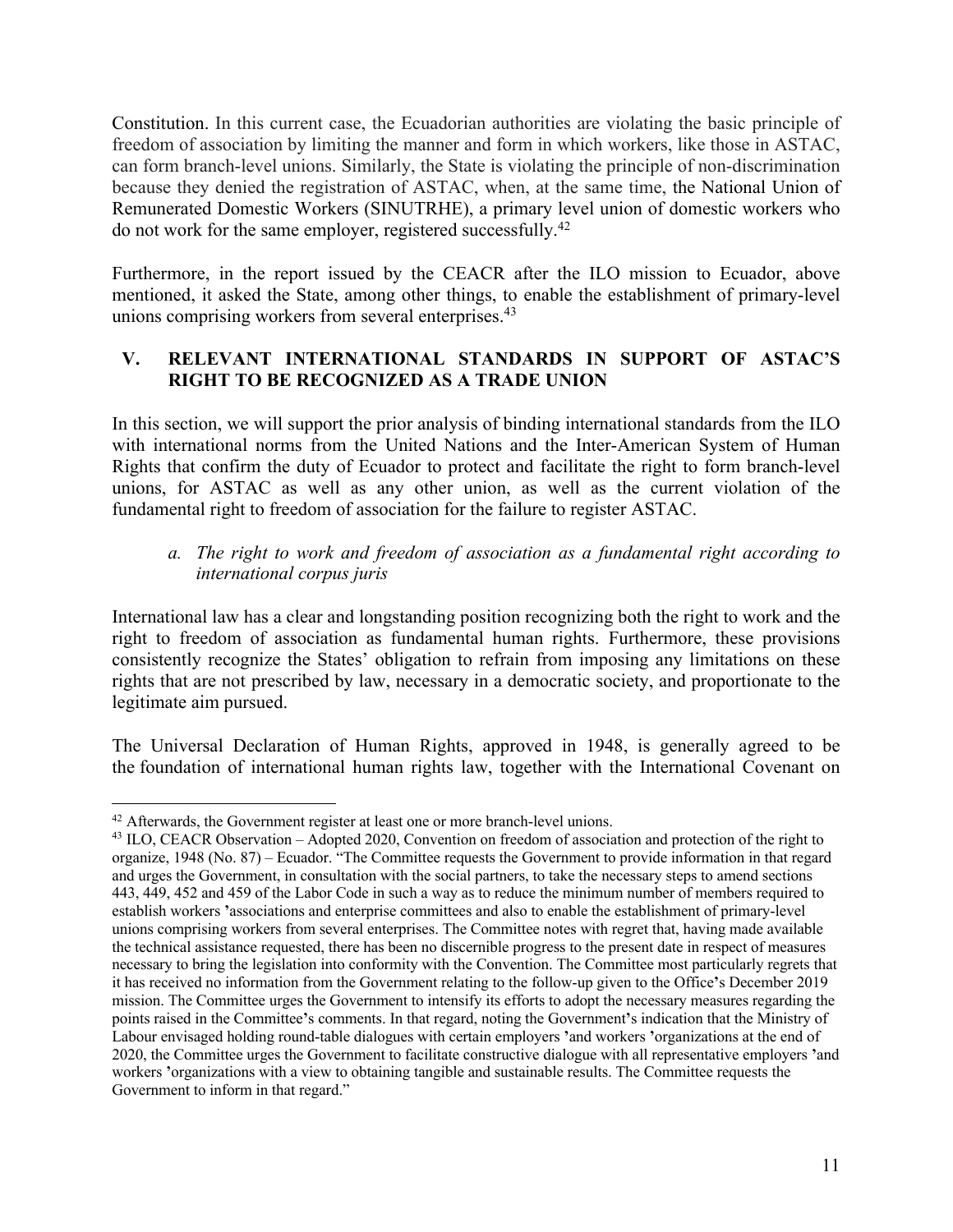Constitution. In this current case, the Ecuadorian authorities are violating the basic principle of freedom of association by limiting the manner and form in which workers, like those in ASTAC, can form branch-level unions. Similarly, the State is violating the principle of non-discrimination because they denied the registration of ASTAC, when, at the same time, the National Union of Remunerated Domestic Workers (SINUTRHE), a primary level union of domestic workers who do not work for the same employer, registered successfully.<sup>42</sup>

Furthermore, in the report issued by the CEACR after the ILO mission to Ecuador, above mentioned, it asked the State, among other things, to enable the establishment of primary-level unions comprising workers from several enterprises.<sup>43</sup>

## **V. RELEVANT INTERNATIONAL STANDARDS IN SUPPORT OF ASTAC'S RIGHT TO BE RECOGNIZED AS A TRADE UNION**

In this section, we will support the prior analysis of binding international standards from the ILO with international norms from the United Nations and the Inter-American System of Human Rights that confirm the duty of Ecuador to protect and facilitate the right to form branch-level unions, for ASTAC as well as any other union, as well as the current violation of the fundamental right to freedom of association for the failure to register ASTAC.

### *a. The right to work and freedom of association as a fundamental right according to international corpus juris*

International law has a clear and longstanding position recognizing both the right to work and the right to freedom of association as fundamental human rights. Furthermore, these provisions consistently recognize the States' obligation to refrain from imposing any limitations on these rights that are not prescribed by law, necessary in a democratic society, and proportionate to the legitimate aim pursued.

The Universal Declaration of Human Rights, approved in 1948, is generally agreed to be the foundation of international human rights law, together with the International Covenant on

<sup>&</sup>lt;sup>42</sup> Afterwards, the Government register at least one or more branch-level unions.

<sup>43</sup> ILO, CEACR Observation – Adopted 2020, Convention on freedom of association and protection of the right to organize, 1948 (No. 87) – Ecuador. "The Committee requests the Government to provide information in that regard and urges the Government, in consultation with the social partners, to take the necessary steps to amend sections 443, 449, 452 and 459 of the Labor Code in such a way as to reduce the minimum number of members required to establish workers **'**associations and enterprise committees and also to enable the establishment of primary-level unions comprising workers from several enterprises. The Committee notes with regret that, having made available the technical assistance requested, there has been no discernible progress to the present date in respect of measures necessary to bring the legislation into conformity with the Convention. The Committee most particularly regrets that it has received no information from the Government relating to the follow-up given to the Office**'**s December 2019 mission. The Committee urges the Government to intensify its efforts to adopt the necessary measures regarding the points raised in the Committee**'**s comments. In that regard, noting the Government**'**s indication that the Ministry of Labour envisaged holding round-table dialogues with certain employers **'**and workers **'**organizations at the end of 2020, the Committee urges the Government to facilitate constructive dialogue with all representative employers **'**and workers **'**organizations with a view to obtaining tangible and sustainable results. The Committee requests the Government to inform in that regard."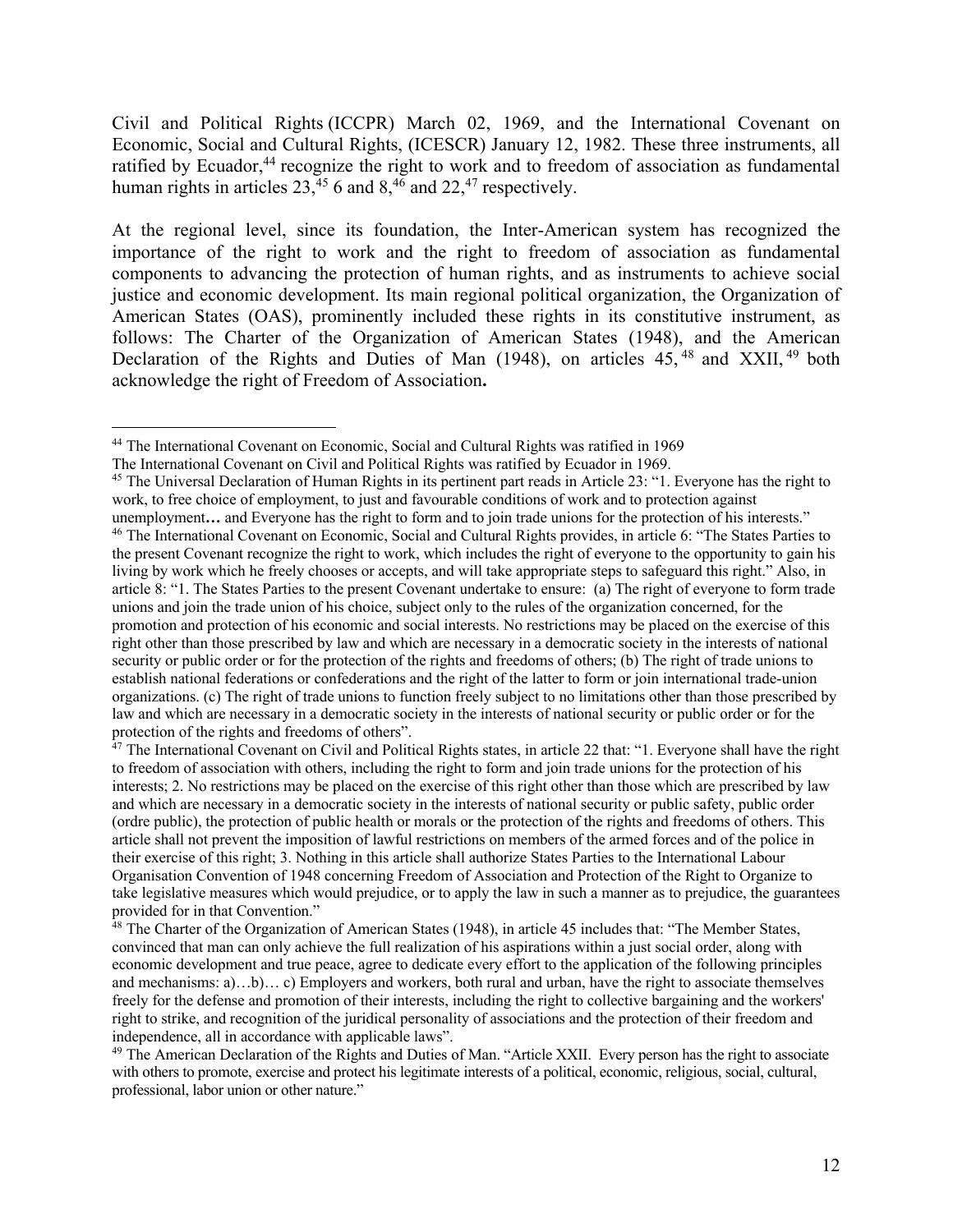Civil and Political Rights (ICCPR) March 02, 1969, and the International Covenant on Economic, Social and Cultural Rights, (ICESCR) January 12, 1982. These three instruments, all ratified by Ecuador,<sup>44</sup> recognize the right to work and to freedom of association as fundamental human rights in articles  $23,45$  6 and  $8,46$  and  $22,47$  respectively.

At the regional level, since its foundation, the Inter-American system has recognized the importance of the right to work and the right to freedom of association as fundamental components to advancing the protection of human rights, and as instruments to achieve social justice and economic development. Its main regional political organization, the Organization of American States (OAS), prominently included these rights in its constitutive instrument, as follows: The Charter of the Organization of American States (1948), and the American Declaration of the Rights and Duties of Man (1948), on articles 45,<sup>48</sup> and XXII,<sup>49</sup> both acknowledge the right of Freedom of Association**.**

<sup>44</sup> The International Covenant on Economic, Social and Cultural Rights was ratified in 1969

The International Covenant on Civil and Political Rights was ratified by Ecuador in 1969.

<sup>&</sup>lt;sup>45</sup> The Universal Declaration of Human Rights in its pertinent part reads in Article 23: "1. Everyone has the right to work, to free choice of employment, to just and favourable conditions of work and to protection against unemployment... and Everyone has the right to form and to join trade unions for the protection of his interests." <sup>46</sup> The International Covenant on Economic, Social and Cultural Rights provides, in article 6: "The States Parties to the present Covenant recognize the right to work, which includes the right of everyone to the opportunity to gain his living by work which he freely chooses or accepts, and will take appropriate steps to safeguard this right." Also, in article 8: "1. The States Parties to the present Covenant undertake to ensure: (a) The right of everyone to form trade unions and join the trade union of his choice, subject only to the rules of the organization concerned, for the promotion and protection of his economic and social interests. No restrictions may be placed on the exercise of this right other than those prescribed by law and which are necessary in a democratic society in the interests of national security or public order or for the protection of the rights and freedoms of others; (b) The right of trade unions to establish national federations or confederations and the right of the latter to form or join international trade-union organizations. (c) The right of trade unions to function freely subject to no limitations other than those prescribed by law and which are necessary in a democratic society in the interests of national security or public order or for the protection of the rights and freedoms of others".

 $47$  The International Covenant on Civil and Political Rights states, in article 22 that: "1. Everyone shall have the right to freedom of association with others, including the right to form and join trade unions for the protection of his interests; 2. No restrictions may be placed on the exercise of this right other than those which are prescribed by law and which are necessary in a democratic society in the interests of national security or public safety, public order (ordre public), the protection of public health or morals or the protection of the rights and freedoms of others. This article shall not prevent the imposition of lawful restrictions on members of the armed forces and of the police in their exercise of this right; 3. Nothing in this article shall authorize States Parties to the International Labour Organisation Convention of 1948 concerning Freedom of Association and Protection of the Right to Organize to take legislative measures which would prejudice, or to apply the law in such a manner as to prejudice, the guarantees provided for in that Convention."

<sup>&</sup>lt;sup>48</sup> The Charter of the Organization of American States (1948), in article 45 includes that: "The Member States, convinced that man can only achieve the full realization of his aspirations within a just social order, along with economic development and true peace, agree to dedicate every effort to the application of the following principles and mechanisms: a)…b)… c) Employers and workers, both rural and urban, have the right to associate themselves freely for the defense and promotion of their interests, including the right to collective bargaining and the workers' right to strike, and recognition of the juridical personality of associations and the protection of their freedom and independence, all in accordance with applicable laws".

<sup>&</sup>lt;sup>49</sup> The American Declaration of the Rights and Duties of Man. "Article XXII. Every person has the right to associate with others to promote, exercise and protect his legitimate interests of a political, economic, religious, social, cultural, professional, labor union or other nature."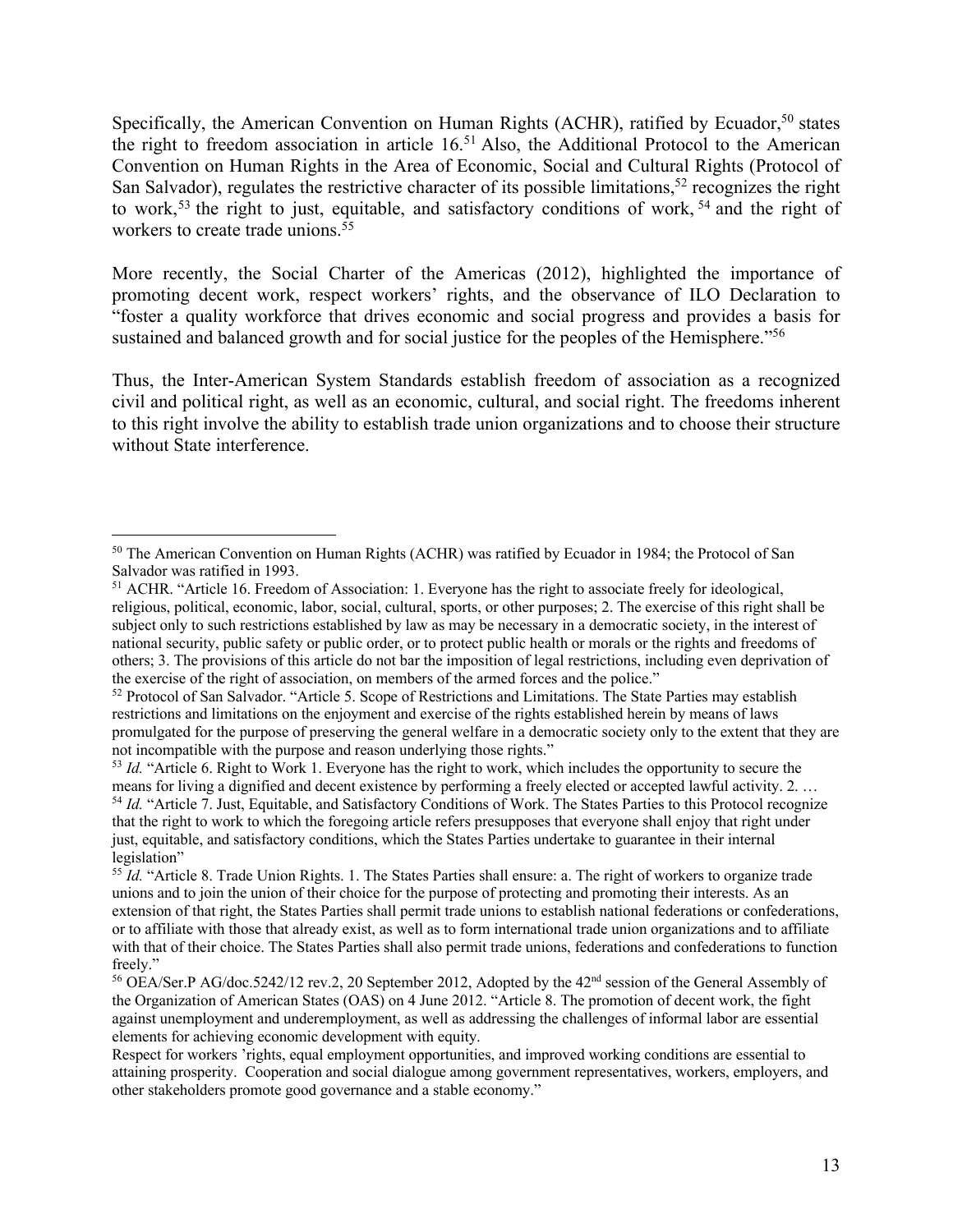Specifically, the American Convention on Human Rights (ACHR), ratified by Ecuador,<sup>50</sup> states the right to freedom association in article 16. <sup>51</sup> Also, the Additional Protocol to the American Convention on Human Rights in the Area of Economic, Social and Cultural Rights (Protocol of San Salvador), regulates the restrictive character of its possible limitations,<sup>52</sup> recognizes the right to work,<sup>53</sup> the right to just, equitable, and satisfactory conditions of work, <sup>54</sup> and the right of workers to create trade unions. 55

More recently, the Social Charter of the Americas (2012), highlighted the importance of promoting decent work, respect workers' rights, and the observance of ILO Declaration to "foster a quality workforce that drives economic and social progress and provides a basis for sustained and balanced growth and for social justice for the peoples of the Hemisphere."<sup>56</sup>

Thus, the Inter-American System Standards establish freedom of association as a recognized civil and political right, as well as an economic, cultural, and social right. The freedoms inherent to this right involve the ability to establish trade union organizations and to choose their structure without State interference.

<sup>50</sup> The American Convention on Human Rights (ACHR) was ratified by Ecuador in 1984; the Protocol of San Salvador was ratified in 1993.

<sup>&</sup>lt;sup>51</sup> ACHR. "Article 16. Freedom of Association: 1. Everyone has the right to associate freely for ideological, religious, political, economic, labor, social, cultural, sports, or other purposes; 2. The exercise of this right shall be subject only to such restrictions established by law as may be necessary in a democratic society, in the interest of national security, public safety or public order, or to protect public health or morals or the rights and freedoms of others; 3. The provisions of this article do not bar the imposition of legal restrictions, including even deprivation of the exercise of the right of association, on members of the armed forces and the police."

<sup>&</sup>lt;sup>52</sup> Protocol of San Salvador. "Article 5. Scope of Restrictions and Limitations. The State Parties may establish restrictions and limitations on the enjoyment and exercise of the rights established herein by means of laws promulgated for the purpose of preserving the general welfare in a democratic society only to the extent that they are not incompatible with the purpose and reason underlying those rights."

<sup>53</sup> *Id.* "Article 6. Right to Work 1. Everyone has the right to work, which includes the opportunity to secure the means for living a dignified and decent existence by performing a freely elected or accepted lawful activity. 2. … <sup>54</sup> *Id.* "Article 7. Just, Equitable, and Satisfactory Conditions of Work. The States Parties to this Protocol recognize that the right to work to which the foregoing article refers presupposes that everyone shall enjoy that right under just, equitable, and satisfactory conditions, which the States Parties undertake to guarantee in their internal legislation"

<sup>&</sup>lt;sup>55</sup> *Id.* "Article 8. Trade Union Rights. 1. The States Parties shall ensure: a. The right of workers to organize trade unions and to join the union of their choice for the purpose of protecting and promoting their interests. As an extension of that right, the States Parties shall permit trade unions to establish national federations or confederations, or to affiliate with those that already exist, as well as to form international trade union organizations and to affiliate with that of their choice. The States Parties shall also permit trade unions, federations and confederations to function freely."

<sup>56</sup> OEA/Ser.P AG/doc.5242/12 rev.2, 20 September 2012, Adopted by the 42nd session of the General Assembly of the Organization of American States (OAS) on 4 June 2012. "Article 8. The promotion of decent work, the fight against unemployment and underemployment, as well as addressing the challenges of informal labor are essential elements for achieving economic development with equity.

Respect for workers 'rights, equal employment opportunities, and improved working conditions are essential to attaining prosperity. Cooperation and social dialogue among government representatives, workers, employers, and other stakeholders promote good governance and a stable economy."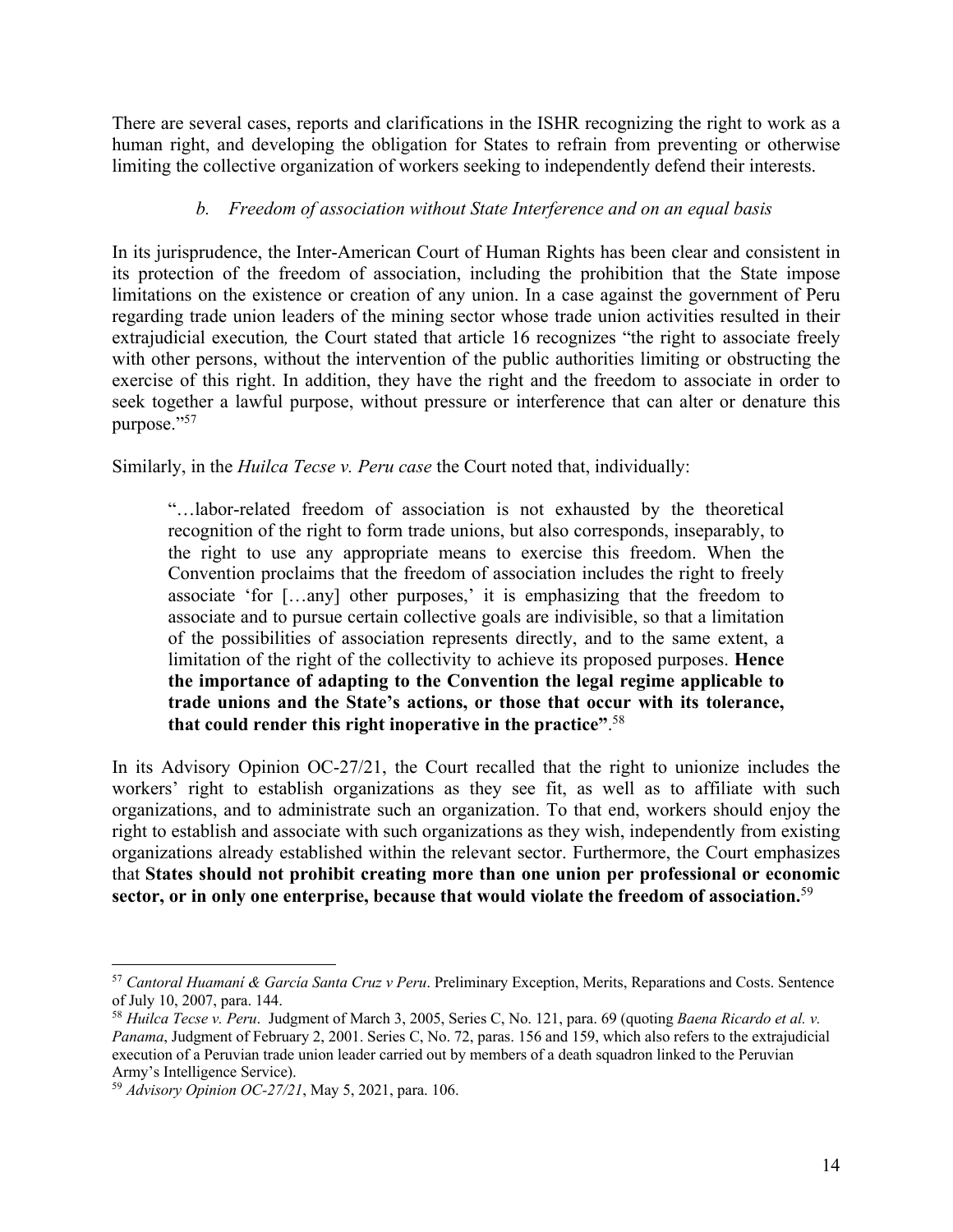There are several cases, reports and clarifications in the ISHR recognizing the right to work as a human right, and developing the obligation for States to refrain from preventing or otherwise limiting the collective organization of workers seeking to independently defend their interests.

### *b. Freedom of association without State Interference and on an equal basis*

In its jurisprudence, the Inter-American Court of Human Rights has been clear and consistent in its protection of the freedom of association, including the prohibition that the State impose limitations on the existence or creation of any union. In a case against the government of Peru regarding trade union leaders of the mining sector whose trade union activities resulted in their extrajudicial execution*,* the Court stated that article 16 recognizes "the right to associate freely with other persons, without the intervention of the public authorities limiting or obstructing the exercise of this right. In addition, they have the right and the freedom to associate in order to seek together a lawful purpose, without pressure or interference that can alter or denature this purpose."57

Similarly, in the *Huilca Tecse v. Peru case* the Court noted that, individually:

"…labor-related freedom of association is not exhausted by the theoretical recognition of the right to form trade unions, but also corresponds, inseparably, to the right to use any appropriate means to exercise this freedom. When the Convention proclaims that the freedom of association includes the right to freely associate 'for […any] other purposes,' it is emphasizing that the freedom to associate and to pursue certain collective goals are indivisible, so that a limitation of the possibilities of association represents directly, and to the same extent, a limitation of the right of the collectivity to achieve its proposed purposes. **Hence the importance of adapting to the Convention the legal regime applicable to trade unions and the State's actions, or those that occur with its tolerance, that could render this right inoperative in the practice"**. 58

In its Advisory Opinion OC-27/21, the Court recalled that the right to unionize includes the workers' right to establish organizations as they see fit, as well as to affiliate with such organizations, and to administrate such an organization. To that end, workers should enjoy the right to establish and associate with such organizations as they wish, independently from existing organizations already established within the relevant sector. Furthermore, the Court emphasizes that **States should not prohibit creating more than one union per professional or economic sector, or in only one enterprise, because that would violate the freedom of association.**<sup>59</sup>

<sup>57</sup> *Cantoral Huamaní & García Santa Cruz v Peru*. Preliminary Exception, Merits, Reparations and Costs. Sentence of July 10, 2007, para. 144.

<sup>58</sup> *Huilca Tecse v. Peru*. Judgment of March 3, 2005, Series C, No. 121, para. 69 (quoting *Baena Ricardo et al. v. Panama*, Judgment of February 2, 2001. Series C, No. 72, paras. 156 and 159, which also refers to the extrajudicial execution of a Peruvian trade union leader carried out by members of a death squadron linked to the Peruvian Army's Intelligence Service).

<sup>59</sup> *Advisory Opinion OC-27/21*, May 5, 2021, para. 106.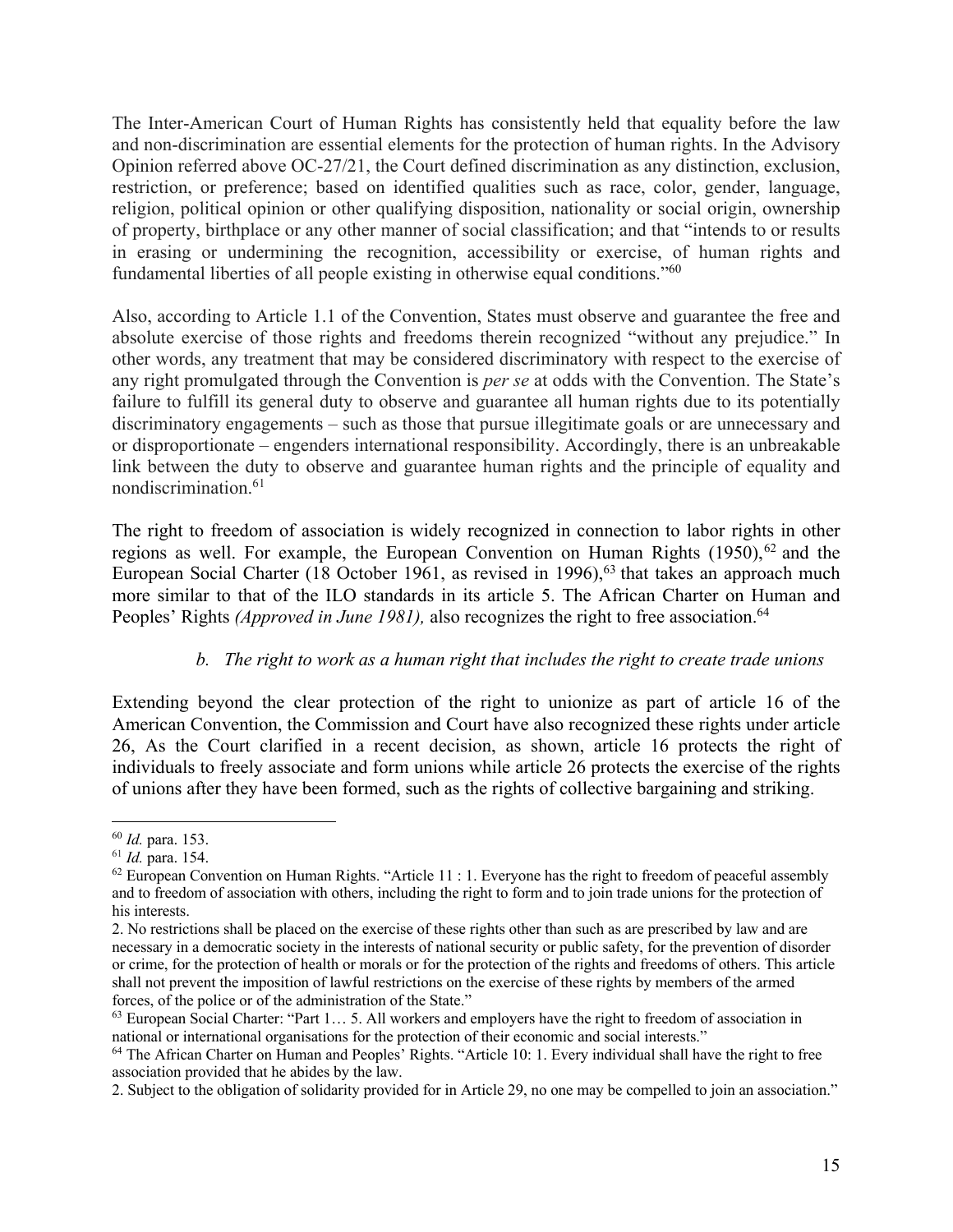The Inter-American Court of Human Rights has consistently held that equality before the law and non-discrimination are essential elements for the protection of human rights. In the Advisory Opinion referred above OC-27/21, the Court defined discrimination as any distinction, exclusion, restriction, or preference; based on identified qualities such as race, color, gender, language, religion, political opinion or other qualifying disposition, nationality or social origin, ownership of property, birthplace or any other manner of social classification; and that "intends to or results in erasing or undermining the recognition, accessibility or exercise, of human rights and fundamental liberties of all people existing in otherwise equal conditions."60

Also, according to Article 1.1 of the Convention, States must observe and guarantee the free and absolute exercise of those rights and freedoms therein recognized "without any prejudice." In other words, any treatment that may be considered discriminatory with respect to the exercise of any right promulgated through the Convention is *per se* at odds with the Convention. The State's failure to fulfill its general duty to observe and guarantee all human rights due to its potentially discriminatory engagements – such as those that pursue illegitimate goals or are unnecessary and or disproportionate – engenders international responsibility. Accordingly, there is an unbreakable link between the duty to observe and guarantee human rights and the principle of equality and nondiscrimination.61

The right to freedom of association is widely recognized in connection to labor rights in other regions as well. For example, the European Convention on Human Rights  $(1950)$ , <sup>62</sup> and the European Social Charter (18 October 1961, as revised in 1996),<sup>63</sup> that takes an approach much more similar to that of the ILO standards in its article 5. The African Charter on Human and Peoples' Rights *(Approved in June 1981),* also recognizes the right to free association. 64

### *b. The right to work as a human right that includes the right to create trade unions*

Extending beyond the clear protection of the right to unionize as part of article 16 of the American Convention, the Commission and Court have also recognized these rights under article 26, As the Court clarified in a recent decision, as shown, article 16 protects the right of individuals to freely associate and form unions while article 26 protects the exercise of the rights of unions after they have been formed, such as the rights of collective bargaining and striking.

<sup>60</sup> *Id.* para. 153.

<sup>61</sup> *Id.* para. 154.

 $62$  European Convention on Human Rights. "Article 11 : 1. Everyone has the right to freedom of peaceful assembly and to freedom of association with others, including the right to form and to join trade unions for the protection of his interests.

<sup>2.</sup> No restrictions shall be placed on the exercise of these rights other than such as are prescribed by law and are necessary in a democratic society in the interests of national security or public safety, for the prevention of disorder or crime, for the protection of health or morals or for the protection of the rights and freedoms of others. This article shall not prevent the imposition of lawful restrictions on the exercise of these rights by members of the armed forces, of the police or of the administration of the State."

<sup>63</sup> European Social Charter: "Part 1… 5. All workers and employers have the right to freedom of association in national or international organisations for the protection of their economic and social interests."

<sup>&</sup>lt;sup>64</sup> The African Charter on Human and Peoples' Rights. "Article 10: 1. Every individual shall have the right to free association provided that he abides by the law.

<sup>2.</sup> Subject to the obligation of solidarity provided for in Article 29, no one may be compelled to join an association."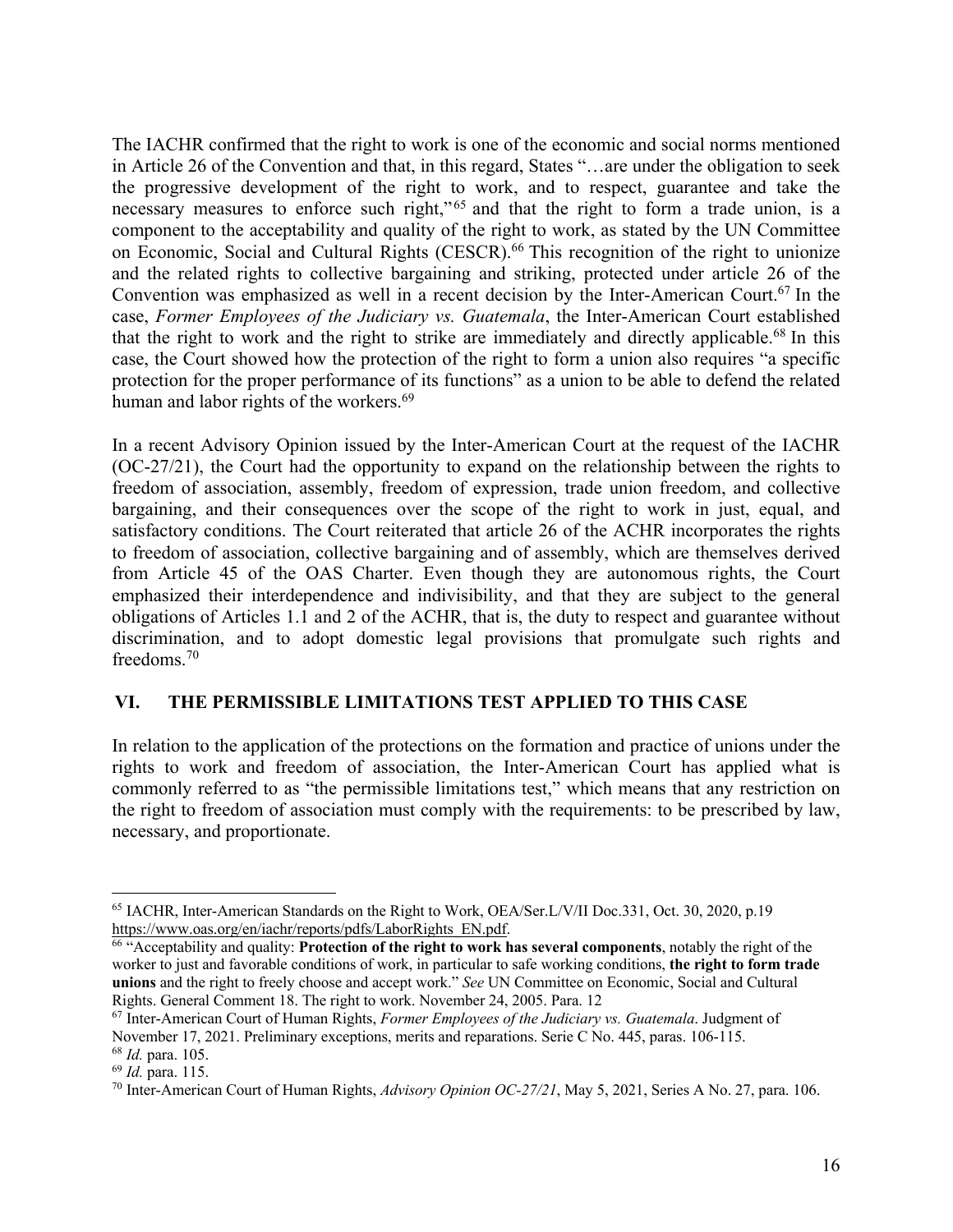The IACHR confirmed that the right to work is one of the economic and social norms mentioned in Article 26 of the Convention and that, in this regard, States "…are under the obligation to seek the progressive development of the right to work, and to respect, guarantee and take the necessary measures to enforce such right,"<sup>65</sup> and that the right to form a trade union, is a component to the acceptability and quality of the right to work, as stated by the UN Committee on Economic, Social and Cultural Rights (CESCR). <sup>66</sup> This recognition of the right to unionize and the related rights to collective bargaining and striking, protected under article 26 of the Convention was emphasized as well in a recent decision by the Inter-American Court.67 In the case, *Former Employees of the Judiciary vs. Guatemala*, the Inter-American Court established that the right to work and the right to strike are immediately and directly applicable.68 In this case, the Court showed how the protection of the right to form a union also requires "a specific protection for the proper performance of its functions" as a union to be able to defend the related human and labor rights of the workers.<sup>69</sup>

In a recent Advisory Opinion issued by the Inter-American Court at the request of the IACHR (OC-27/21), the Court had the opportunity to expand on the relationship between the rights to freedom of association, assembly, freedom of expression, trade union freedom, and collective bargaining, and their consequences over the scope of the right to work in just, equal, and satisfactory conditions. The Court reiterated that article 26 of the ACHR incorporates the rights to freedom of association, collective bargaining and of assembly, which are themselves derived from Article 45 of the OAS Charter. Even though they are autonomous rights, the Court emphasized their interdependence and indivisibility, and that they are subject to the general obligations of Articles 1.1 and 2 of the ACHR, that is, the duty to respect and guarantee without discrimination, and to adopt domestic legal provisions that promulgate such rights and freedoms.70

### **VI. THE PERMISSIBLE LIMITATIONS TEST APPLIED TO THIS CASE**

In relation to the application of the protections on the formation and practice of unions under the rights to work and freedom of association, the Inter-American Court has applied what is commonly referred to as "the permissible limitations test," which means that any restriction on the right to freedom of association must comply with the requirements: to be prescribed by law, necessary, and proportionate.

<sup>65</sup> IACHR, Inter-American Standards on the Right to Work, OEA/Ser.L/V/II Doc.331, Oct. 30, 2020, p.19 https://www.oas.org/en/iachr/reports/pdfs/LaborRights\_EN.pdf.

<sup>66</sup> "Acceptability and quality: **Protection of the right to work has several components**, notably the right of the worker to just and favorable conditions of work, in particular to safe working conditions, **the right to form trade unions** and the right to freely choose and accept work." *See* UN Committee on Economic, Social and Cultural Rights. General Comment 18. The right to work. November 24, 2005. Para. 12

<sup>67</sup> Inter-American Court of Human Rights, *Former Employees of the Judiciary vs. Guatemala*. Judgment of November 17, 2021. Preliminary exceptions, merits and reparations. Serie C No. 445, paras. 106-115. <sup>68</sup> *Id.* para. 105.

<sup>69</sup> *Id.* para. 115.

<sup>70</sup> Inter-American Court of Human Rights, *Advisory Opinion OC-27/21*, May 5, 2021, Series A No. 27, para. 106.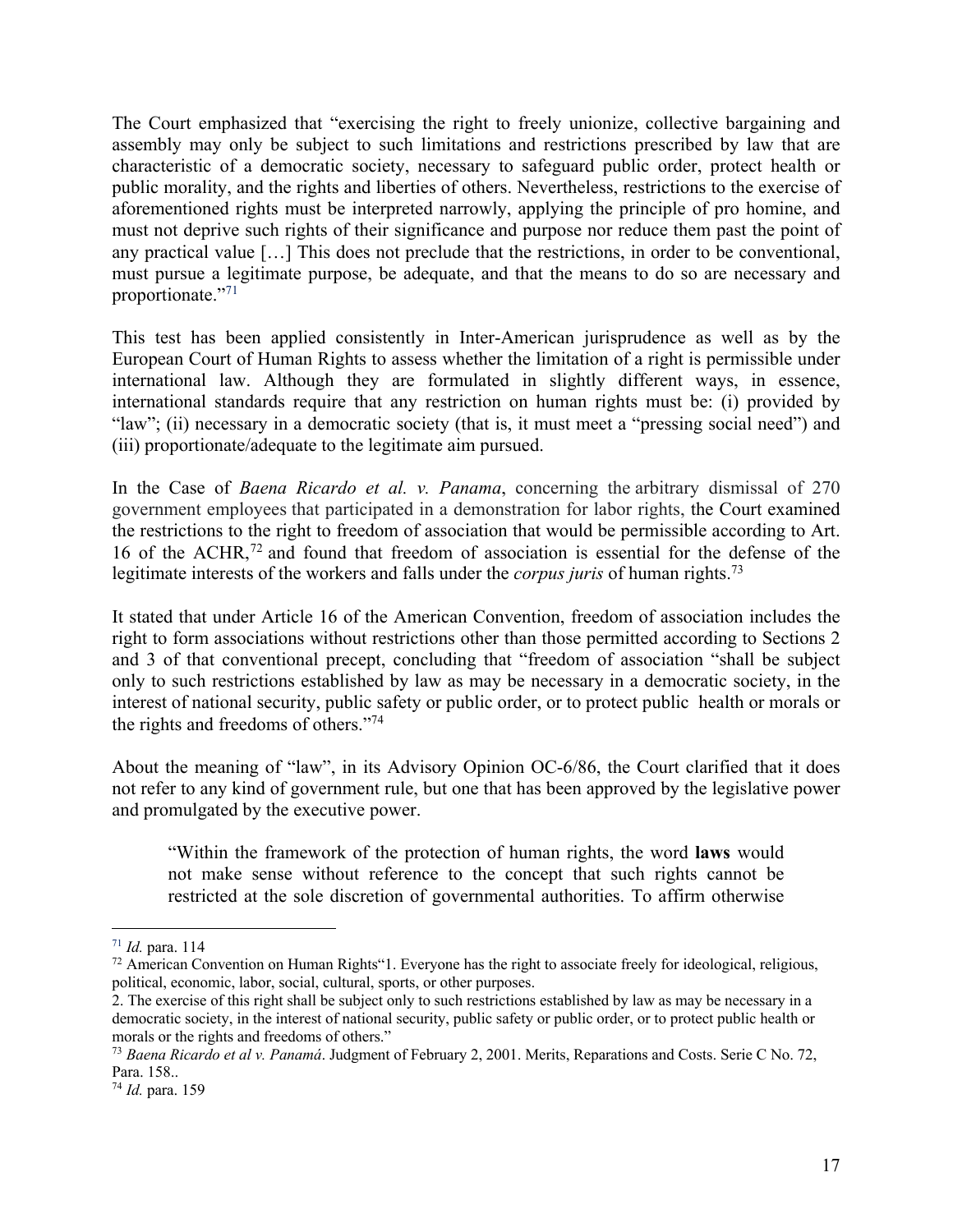The Court emphasized that "exercising the right to freely unionize, collective bargaining and assembly may only be subject to such limitations and restrictions prescribed by law that are characteristic of a democratic society, necessary to safeguard public order, protect health or public morality, and the rights and liberties of others. Nevertheless, restrictions to the exercise of aforementioned rights must be interpreted narrowly, applying the principle of pro homine, and must not deprive such rights of their significance and purpose nor reduce them past the point of any practical value […] This does not preclude that the restrictions, in order to be conventional, must pursue a legitimate purpose, be adequate, and that the means to do so are necessary and proportionate."71

This test has been applied consistently in Inter-American jurisprudence as well as by the European Court of Human Rights to assess whether the limitation of a right is permissible under international law. Although they are formulated in slightly different ways, in essence, international standards require that any restriction on human rights must be: (i) provided by "law"; (ii) necessary in a democratic society (that is, it must meet a "pressing social need") and (iii) proportionate/adequate to the legitimate aim pursued.

In the Case of *Baena Ricardo et al. v. Panama*, concerning the arbitrary dismissal of 270 government employees that participated in a demonstration for labor rights, the Court examined the restrictions to the right to freedom of association that would be permissible according to Art. 16 of the ACHR, <sup>72</sup> and found that freedom of association is essential for the defense of the legitimate interests of the workers and falls under the *corpus juris* of human rights.73

It stated that under Article 16 of the American Convention, freedom of association includes the right to form associations without restrictions other than those permitted according to Sections 2 and 3 of that conventional precept, concluding that "freedom of association "shall be subject only to such restrictions established by law as may be necessary in a democratic society, in the interest of national security, public safety or public order, or to protect public health or morals or the rights and freedoms of others."74

About the meaning of "law", in its Advisory Opinion OC-6/86, the Court clarified that it does not refer to any kind of government rule, but one that has been approved by the legislative power and promulgated by the executive power.

"Within the framework of the protection of human rights, the word **laws** would not make sense without reference to the concept that such rights cannot be restricted at the sole discretion of governmental authorities. To affirm otherwise

<sup>71</sup> *Id.* para. 114

 $72$  American Convention on Human Rights"1. Everyone has the right to associate freely for ideological, religious, political, economic, labor, social, cultural, sports, or other purposes.

<sup>2.</sup> The exercise of this right shall be subject only to such restrictions established by law as may be necessary in a democratic society, in the interest of national security, public safety or public order, or to protect public health or morals or the rights and freedoms of others."

<sup>73</sup> *Baena Ricardo et al v. Panamá*. Judgment of February 2, 2001. Merits, Reparations and Costs. Serie C No. 72, Para. 158..

<sup>74</sup> *Id.* para. 159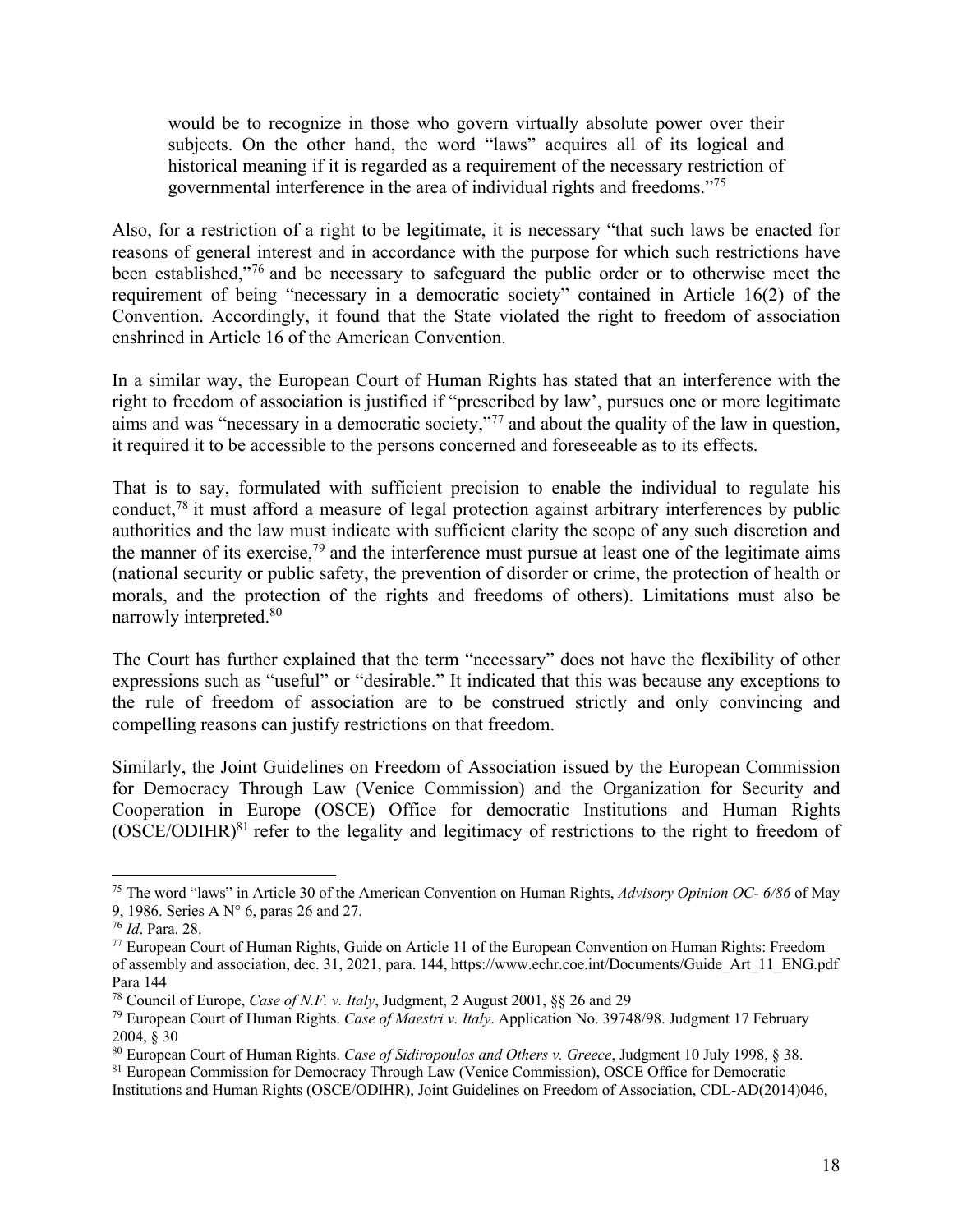would be to recognize in those who govern virtually absolute power over their subjects. On the other hand, the word "laws" acquires all of its logical and historical meaning if it is regarded as a requirement of the necessary restriction of governmental interference in the area of individual rights and freedoms."75

Also, for a restriction of a right to be legitimate, it is necessary "that such laws be enacted for reasons of general interest and in accordance with the purpose for which such restrictions have been established,"<sup>76</sup> and be necessary to safeguard the public order or to otherwise meet the requirement of being "necessary in a democratic society" contained in Article 16(2) of the Convention. Accordingly, it found that the State violated the right to freedom of association enshrined in Article 16 of the American Convention.

In a similar way, the European Court of Human Rights has stated that an interference with the right to freedom of association is justified if "prescribed by law', pursues one or more legitimate aims and was "necessary in a democratic society,"77 and about the quality of the law in question, it required it to be accessible to the persons concerned and foreseeable as to its effects.

That is to say, formulated with sufficient precision to enable the individual to regulate his conduct,<sup>78</sup> it must afford a measure of legal protection against arbitrary interferences by public authorities and the law must indicate with sufficient clarity the scope of any such discretion and the manner of its exercise,<sup>79</sup> and the interference must pursue at least one of the legitimate aims (national security or public safety, the prevention of disorder or crime, the protection of health or morals, and the protection of the rights and freedoms of others). Limitations must also be narrowly interpreted.<sup>80</sup>

The Court has further explained that the term "necessary" does not have the flexibility of other expressions such as "useful" or "desirable." It indicated that this was because any exceptions to the rule of freedom of association are to be construed strictly and only convincing and compelling reasons can justify restrictions on that freedom.

Similarly, the Joint Guidelines on Freedom of Association issued by the European Commission for Democracy Through Law (Venice Commission) and the Organization for Security and Cooperation in Europe (OSCE) Office for democratic Institutions and Human Rights  $(OSCE/ODIHR)^{81}$  refer to the legality and legitimacy of restrictions to the right to freedom of

<sup>75</sup> The word "laws" in Article 30 of the American Convention on Human Rights, *Advisory Opinion OC- 6/86* of May 9, 1986. Series A N° 6, paras 26 and 27.

<sup>76</sup> *Id*. Para. 28.

<sup>77</sup> European Court of Human Rights, Guide on Article 11 of the European Convention on Human Rights: Freedom of assembly and association, dec. 31, 2021, para. 144, https://www.echr.coe.int/Documents/Guide\_Art\_11\_ENG.pdf Para 144

<sup>78</sup> Council of Europe, *Case of N.F. v. Italy*, Judgment, 2 August 2001, §§ 26 and 29

<sup>79</sup> European Court of Human Rights. *Case of Maestri v. Italy*. Application No. 39748/98. Judgment 17 February 2004, § 30

<sup>80</sup> European Court of Human Rights. *Case of Sidiropoulos and Others v. Greece*, Judgment 10 July 1998, § 38.

<sup>&</sup>lt;sup>81</sup> European Commission for Democracy Through Law (Venice Commission), OSCE Office for Democratic Institutions and Human Rights (OSCE/ODIHR), Joint Guidelines on Freedom of Association, CDL-AD(2014)046,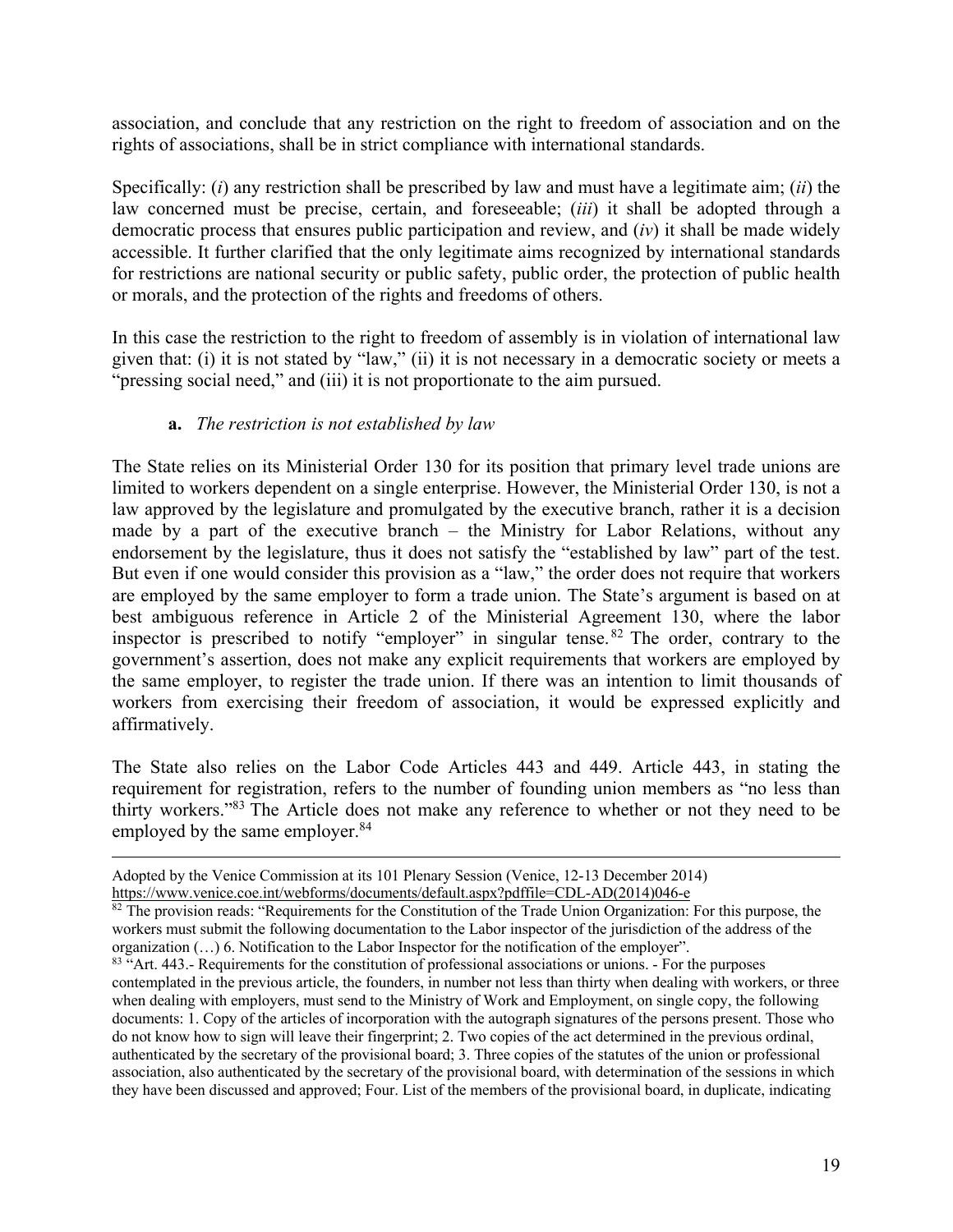association, and conclude that any restriction on the right to freedom of association and on the rights of associations, shall be in strict compliance with international standards.

Specifically: (*i*) any restriction shall be prescribed by law and must have a legitimate aim; (*ii*) the law concerned must be precise, certain, and foreseeable; (*iii*) it shall be adopted through a democratic process that ensures public participation and review, and (*iv*) it shall be made widely accessible. It further clarified that the only legitimate aims recognized by international standards for restrictions are national security or public safety, public order, the protection of public health or morals, and the protection of the rights and freedoms of others.

In this case the restriction to the right to freedom of assembly is in violation of international law given that: (i) it is not stated by "law," (ii) it is not necessary in a democratic society or meets a "pressing social need," and (iii) it is not proportionate to the aim pursued.

### **a.** *The restriction is not established by law*

The State relies on its Ministerial Order 130 for its position that primary level trade unions are limited to workers dependent on a single enterprise. However, the Ministerial Order 130, is not a law approved by the legislature and promulgated by the executive branch, rather it is a decision made by a part of the executive branch – the Ministry for Labor Relations, without any endorsement by the legislature, thus it does not satisfy the "established by law" part of the test. But even if one would consider this provision as a "law," the order does not require that workers are employed by the same employer to form a trade union. The State's argument is based on at best ambiguous reference in Article 2 of the Ministerial Agreement 130, where the labor inspector is prescribed to notify "employer" in singular tense. <sup>82</sup> The order, contrary to the government's assertion, does not make any explicit requirements that workers are employed by the same employer, to register the trade union. If there was an intention to limit thousands of workers from exercising their freedom of association, it would be expressed explicitly and affirmatively.

The State also relies on the Labor Code Articles 443 and 449. Article 443, in stating the requirement for registration, refers to the number of founding union members as "no less than thirty workers."83 The Article does not make any reference to whether or not they need to be employed by the same employer.<sup>84</sup>

Adopted by the Venice Commission at its 101 Plenary Session (Venice, 12-13 December 2014) https://www.venice.coe.int/webforms/documents/default.aspx?pdffile=CDL-AD(2014)046-e

 $82$  The provision reads: "Requirements for the Constitution of the Trade Union Organization: For this purpose, the workers must submit the following documentation to the Labor inspector of the jurisdiction of the address of the organization (…) 6. Notification to the Labor Inspector for the notification of the employer".

<sup>&</sup>lt;sup>83</sup> "Art. 443.- Requirements for the constitution of professional associations or unions. - For the purposes contemplated in the previous article, the founders, in number not less than thirty when dealing with workers, or three when dealing with employers, must send to the Ministry of Work and Employment, on single copy, the following documents: 1. Copy of the articles of incorporation with the autograph signatures of the persons present. Those who do not know how to sign will leave their fingerprint; 2. Two copies of the act determined in the previous ordinal, authenticated by the secretary of the provisional board; 3. Three copies of the statutes of the union or professional association, also authenticated by the secretary of the provisional board, with determination of the sessions in which they have been discussed and approved; Four. List of the members of the provisional board, in duplicate, indicating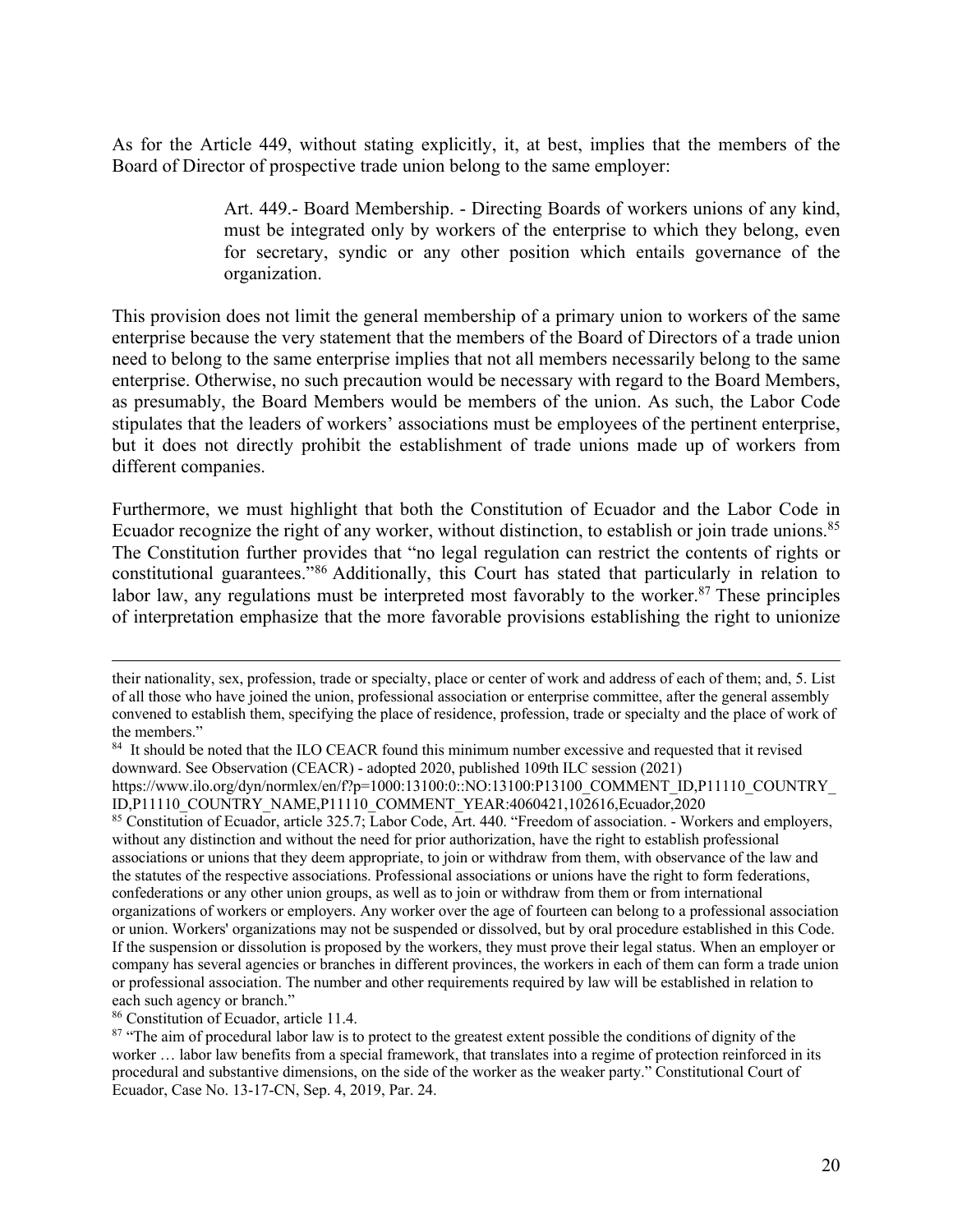As for the Article 449, without stating explicitly, it, at best, implies that the members of the Board of Director of prospective trade union belong to the same employer:

> Art. 449.- Board Membership. - Directing Boards of workers unions of any kind, must be integrated only by workers of the enterprise to which they belong, even for secretary, syndic or any other position which entails governance of the organization.

This provision does not limit the general membership of a primary union to workers of the same enterprise because the very statement that the members of the Board of Directors of a trade union need to belong to the same enterprise implies that not all members necessarily belong to the same enterprise. Otherwise, no such precaution would be necessary with regard to the Board Members, as presumably, the Board Members would be members of the union. As such, the Labor Code stipulates that the leaders of workers' associations must be employees of the pertinent enterprise, but it does not directly prohibit the establishment of trade unions made up of workers from different companies.

Furthermore, we must highlight that both the Constitution of Ecuador and the Labor Code in Ecuador recognize the right of any worker, without distinction, to establish or join trade unions.<sup>85</sup> The Constitution further provides that "no legal regulation can restrict the contents of rights or constitutional guarantees."86 Additionally, this Court has stated that particularly in relation to labor law, any regulations must be interpreted most favorably to the worker. $87$  These principles of interpretation emphasize that the more favorable provisions establishing the right to unionize

<sup>86</sup> Constitution of Ecuador, article 11.4.

their nationality, sex, profession, trade or specialty, place or center of work and address of each of them; and, 5. List of all those who have joined the union, professional association or enterprise committee, after the general assembly convened to establish them, specifying the place of residence, profession, trade or specialty and the place of work of the members."

<sup>&</sup>lt;sup>84</sup> It should be noted that the ILO CEACR found this minimum number excessive and requested that it revised downward. See Observation (CEACR) - adopted 2020, published 109th ILC session (2021)

https://www.ilo.org/dyn/normlex/en/f?p=1000:13100:0::NO:13100:P13100\_COMMENT\_ID,P11110\_COUNTRY\_ ID,P11110\_COUNTRY\_NAME,P11110\_COMMENT\_YEAR:4060421,102616,Ecuador,2020

<sup>85</sup> Constitution of Ecuador, article 325.7; Labor Code, Art. 440. "Freedom of association. - Workers and employers, without any distinction and without the need for prior authorization, have the right to establish professional associations or unions that they deem appropriate, to join or withdraw from them, with observance of the law and the statutes of the respective associations. Professional associations or unions have the right to form federations, confederations or any other union groups, as well as to join or withdraw from them or from international organizations of workers or employers. Any worker over the age of fourteen can belong to a professional association or union. Workers' organizations may not be suspended or dissolved, but by oral procedure established in this Code. If the suspension or dissolution is proposed by the workers, they must prove their legal status. When an employer or company has several agencies or branches in different provinces, the workers in each of them can form a trade union or professional association. The number and other requirements required by law will be established in relation to each such agency or branch."

<sup>&</sup>lt;sup>87</sup> "The aim of procedural labor law is to protect to the greatest extent possible the conditions of dignity of the worker … labor law benefits from a special framework, that translates into a regime of protection reinforced in its procedural and substantive dimensions, on the side of the worker as the weaker party." Constitutional Court of Ecuador, Case No. 13-17-CN, Sep. 4, 2019, Par. 24.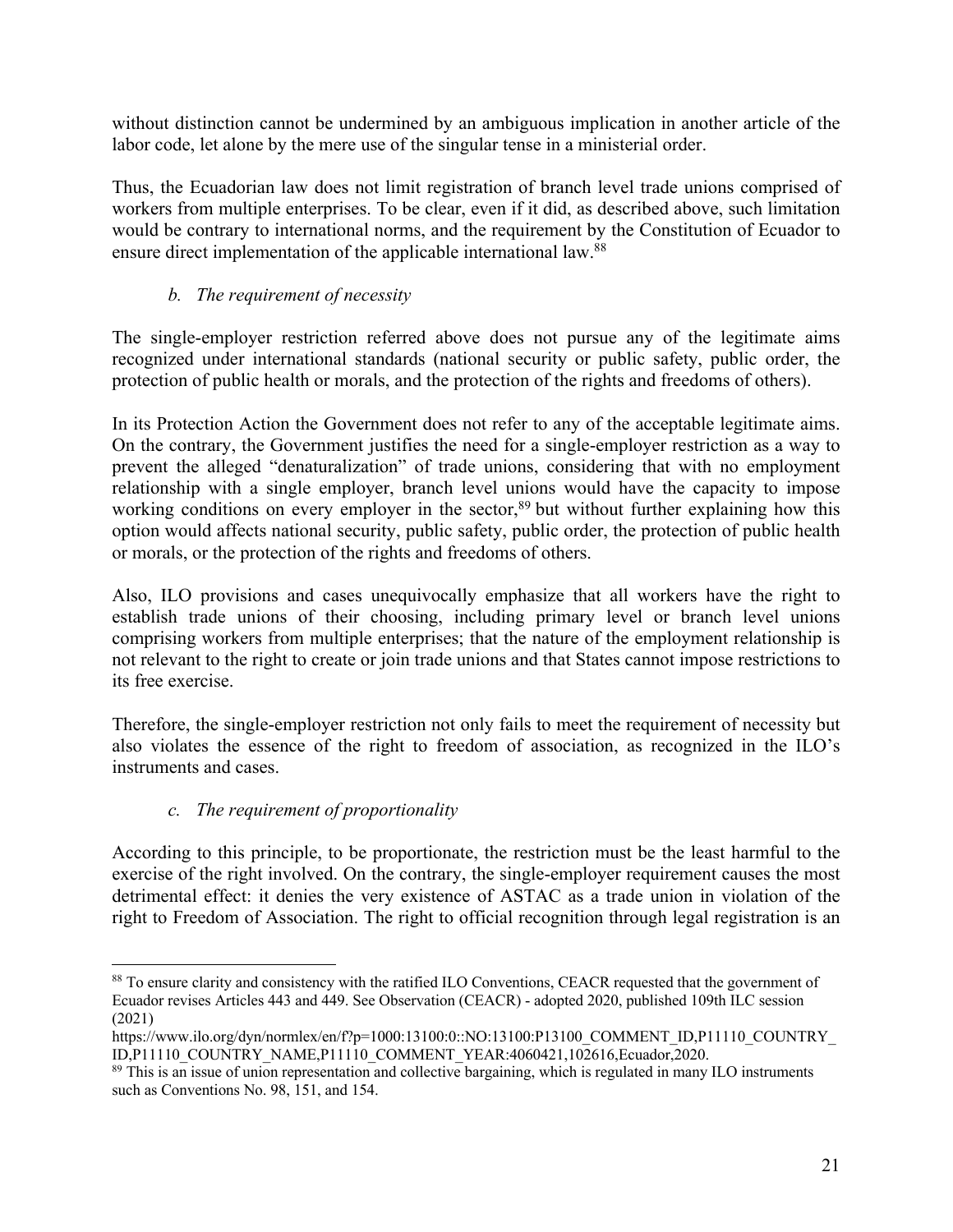without distinction cannot be undermined by an ambiguous implication in another article of the labor code, let alone by the mere use of the singular tense in a ministerial order.

Thus, the Ecuadorian law does not limit registration of branch level trade unions comprised of workers from multiple enterprises. To be clear, even if it did, as described above, such limitation would be contrary to international norms, and the requirement by the Constitution of Ecuador to ensure direct implementation of the applicable international law.<sup>88</sup>

# *b. The requirement of necessity*

The single-employer restriction referred above does not pursue any of the legitimate aims recognized under international standards (national security or public safety, public order, the protection of public health or morals, and the protection of the rights and freedoms of others).

In its Protection Action the Government does not refer to any of the acceptable legitimate aims. On the contrary, the Government justifies the need for a single-employer restriction as a way to prevent the alleged "denaturalization" of trade unions, considering that with no employment relationship with a single employer, branch level unions would have the capacity to impose working conditions on every employer in the sector,<sup>89</sup> but without further explaining how this option would affects national security, public safety, public order, the protection of public health or morals, or the protection of the rights and freedoms of others.

Also, ILO provisions and cases unequivocally emphasize that all workers have the right to establish trade unions of their choosing, including primary level or branch level unions comprising workers from multiple enterprises; that the nature of the employment relationship is not relevant to the right to create or join trade unions and that States cannot impose restrictions to its free exercise.

Therefore, the single-employer restriction not only fails to meet the requirement of necessity but also violates the essence of the right to freedom of association, as recognized in the ILO's instruments and cases.

# *c. The requirement of proportionality*

According to this principle, to be proportionate, the restriction must be the least harmful to the exercise of the right involved. On the contrary, the single-employer requirement causes the most detrimental effect: it denies the very existence of ASTAC as a trade union in violation of the right to Freedom of Association. The right to official recognition through legal registration is an

<sup>88</sup> To ensure clarity and consistency with the ratified ILO Conventions, CEACR requested that the government of Ecuador revises Articles 443 and 449. See Observation (CEACR) - adopted 2020, published 109th ILC session (2021)

https://www.ilo.org/dyn/normlex/en/f?p=1000:13100:0::NO:13100:P13100\_COMMENT\_ID,P11110\_COUNTRY\_ ID,P11110\_COUNTRY\_NAME,P11110\_COMMENT\_YEAR:4060421,102616,Ecuador,2020.

<sup>&</sup>lt;sup>89</sup> This is an issue of union representation and collective bargaining, which is regulated in many ILO instruments such as Conventions No. 98, 151, and 154.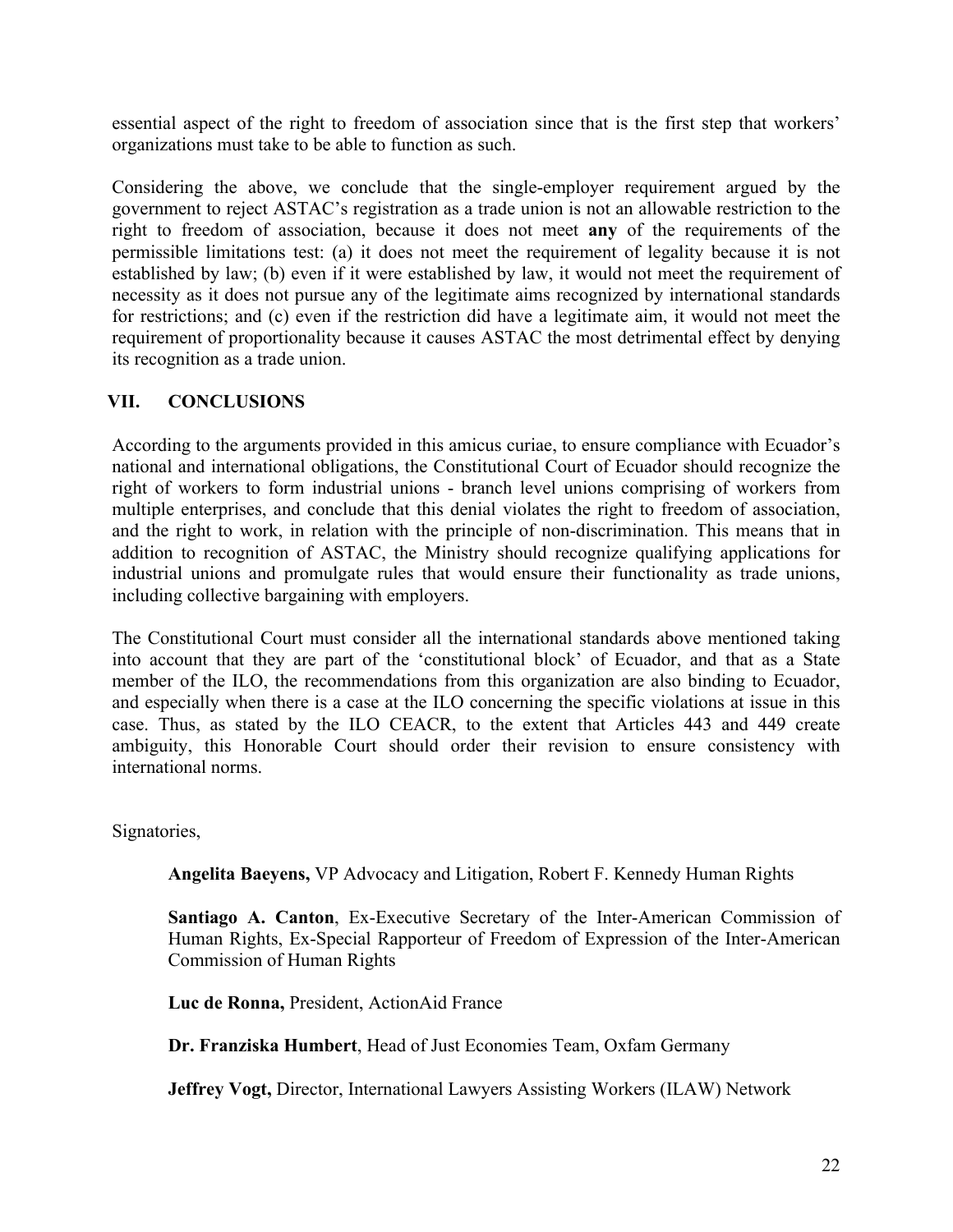essential aspect of the right to freedom of association since that is the first step that workers' organizations must take to be able to function as such.

Considering the above, we conclude that the single-employer requirement argued by the government to reject ASTAC's registration as a trade union is not an allowable restriction to the right to freedom of association, because it does not meet **any** of the requirements of the permissible limitations test: (a) it does not meet the requirement of legality because it is not established by law; (b) even if it were established by law, it would not meet the requirement of necessity as it does not pursue any of the legitimate aims recognized by international standards for restrictions; and (c) even if the restriction did have a legitimate aim, it would not meet the requirement of proportionality because it causes ASTAC the most detrimental effect by denying its recognition as a trade union.

# **VII. CONCLUSIONS**

According to the arguments provided in this amicus curiae, to ensure compliance with Ecuador's national and international obligations, the Constitutional Court of Ecuador should recognize the right of workers to form industrial unions - branch level unions comprising of workers from multiple enterprises, and conclude that this denial violates the right to freedom of association, and the right to work, in relation with the principle of non-discrimination. This means that in addition to recognition of ASTAC, the Ministry should recognize qualifying applications for industrial unions and promulgate rules that would ensure their functionality as trade unions, including collective bargaining with employers.

The Constitutional Court must consider all the international standards above mentioned taking into account that they are part of the 'constitutional block' of Ecuador, and that as a State member of the ILO, the recommendations from this organization are also binding to Ecuador, and especially when there is a case at the ILO concerning the specific violations at issue in this case. Thus, as stated by the ILO CEACR, to the extent that Articles 443 and 449 create ambiguity, this Honorable Court should order their revision to ensure consistency with international norms.

Signatories,

**Angelita Baeyens,** VP Advocacy and Litigation, Robert F. Kennedy Human Rights

**Santiago A. Canton**, Ex-Executive Secretary of the Inter-American Commission of Human Rights, Ex-Special Rapporteur of Freedom of Expression of the Inter-American Commission of Human Rights

**Luc de Ronna,** President, ActionAid France

**Dr. Franziska Humbert**, Head of Just Economies Team, Oxfam Germany

**Jeffrey Vogt,** Director, International Lawyers Assisting Workers (ILAW) Network